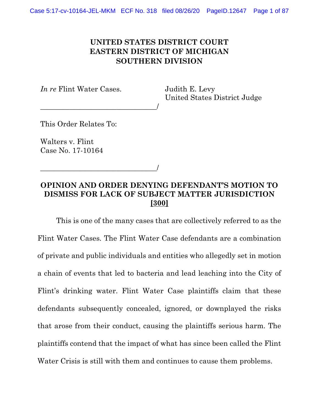## UNITED STATES DISTRICT COURT EASTERN DISTRICT OF MICHIGAN SOUTHERN DIVISION

In re Flint Water Cases.

\_\_\_\_\_\_\_\_\_\_\_\_\_\_\_\_\_\_\_\_\_\_\_\_\_\_\_\_\_\_\_\_/

Judith E. Levy United States District Judge

This Order Relates To:

Walters v. Flint Case No. 17-10164

\_\_\_\_\_\_\_\_\_\_\_\_\_\_\_\_\_\_\_\_\_\_\_\_\_\_\_\_\_\_\_\_/

## OPINION AND ORDER DENYING DEFENDANT'S MOTION TO DISMISS FOR LACK OF SUBJECT MATTER JURISDICTION [300]

This is one of the many cases that are collectively referred to as the Flint Water Cases. The Flint Water Case defendants are a combination of private and public individuals and entities who allegedly set in motion a chain of events that led to bacteria and lead leaching into the City of Flint's drinking water. Flint Water Case plaintiffs claim that these defendants subsequently concealed, ignored, or downplayed the risks that arose from their conduct, causing the plaintiffs serious harm. The plaintiffs contend that the impact of what has since been called the Flint Water Crisis is still with them and continues to cause them problems.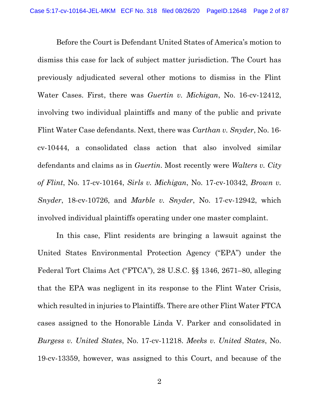Before the Court is Defendant United States of America's motion to dismiss this case for lack of subject matter jurisdiction. The Court has previously adjudicated several other motions to dismiss in the Flint Water Cases. First, there was *Guertin v. Michigan*, No. 16-cv-12412, involving two individual plaintiffs and many of the public and private Flint Water Case defendants. Next, there was Carthan v. Snyder, No. 16 cv-10444, a consolidated class action that also involved similar defendants and claims as in Guertin. Most recently were Walters v. City of Flint, No. 17-cv-10164, Sirls v. Michigan, No. 17-cv-10342, Brown v. Snyder, 18-cv-10726, and *Marble v. Snyder*, No. 17-cv-12942, which involved individual plaintiffs operating under one master complaint.

In this case, Flint residents are bringing a lawsuit against the United States Environmental Protection Agency ("EPA") under the Federal Tort Claims Act ("FTCA"), 28 U.S.C. §§ 1346, 2671–80, alleging that the EPA was negligent in its response to the Flint Water Crisis, which resulted in injuries to Plaintiffs. There are other Flint Water FTCA cases assigned to the Honorable Linda V. Parker and consolidated in Burgess v. United States, No. 17-cv-11218. Meeks v. United States, No. 19-cv-13359, however, was assigned to this Court, and because of the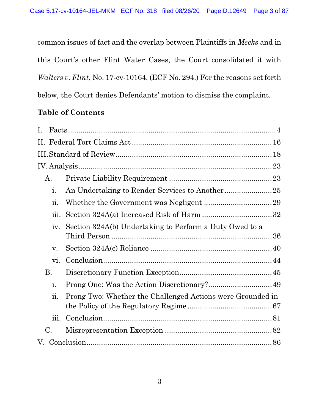common issues of fact and the overlap between Plaintiffs in Meeks and in this Court's other Flint Water Cases, the Court consolidated it with Walters v. Flint, No. 17-cv-10164. (ECF No. 294.) For the reasons set forth below, the Court denies Defendants' motion to dismiss the complaint.

# Table of Contents

| I. |                           |                                                            |  |
|----|---------------------------|------------------------------------------------------------|--|
|    |                           |                                                            |  |
|    |                           |                                                            |  |
|    |                           |                                                            |  |
|    | Α.                        |                                                            |  |
|    | i.                        |                                                            |  |
|    | ii.                       |                                                            |  |
|    | iii.                      |                                                            |  |
|    | iv.                       | Section 324A(b) Undertaking to Perform a Duty Owed to a    |  |
|    | V.                        |                                                            |  |
|    | vi.                       |                                                            |  |
|    | <b>B.</b>                 |                                                            |  |
|    | i.                        |                                                            |  |
|    | $\overline{\mathbf{u}}$ . | Prong Two: Whether the Challenged Actions were Grounded in |  |
|    | iii.                      |                                                            |  |
|    | $\mathcal{C}$ .           |                                                            |  |
|    |                           |                                                            |  |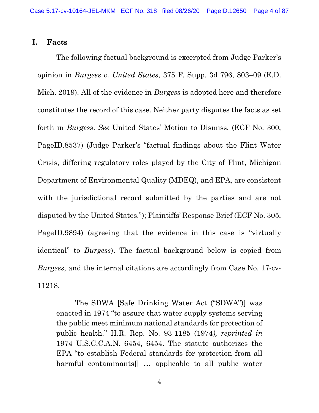#### I. Facts

The following factual background is excerpted from Judge Parker's opinion in Burgess v. United States, 375 F. Supp. 3d 796, 803–09 (E.D. Mich. 2019). All of the evidence in Burgess is adopted here and therefore constitutes the record of this case. Neither party disputes the facts as set forth in Burgess. See United States' Motion to Dismiss, (ECF No. 300, PageID.8537) (Judge Parker's "factual findings about the Flint Water Crisis, differing regulatory roles played by the City of Flint, Michigan Department of Environmental Quality (MDEQ), and EPA, are consistent with the jurisdictional record submitted by the parties and are not disputed by the United States."); Plaintiffs' Response Brief (ECF No. 305, PageID.9894) (agreeing that the evidence in this case is "virtually identical" to *Burgess*). The factual background below is copied from Burgess, and the internal citations are accordingly from Case No. 17-cv-11218.

The SDWA [Safe Drinking Water Act ("SDWA")] was enacted in 1974 "to assure that water supply systems serving the public meet minimum national standards for protection of public health." H.R. Rep. No. 93-1185 (1974), reprinted in 1974 U.S.C.C.A.N. 6454, 6454. The statute authorizes the EPA "to establish Federal standards for protection from all harmful contaminants[] … applicable to all public water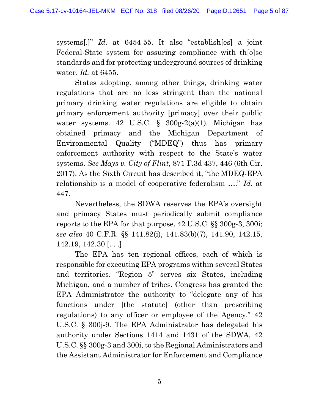systems[.]" Id. at 6454-55. It also "establish[es] a joint Federal-State system for assuring compliance with th[o]se standards and for protecting underground sources of drinking water. Id. at 6455.

States adopting, among other things, drinking water regulations that are no less stringent than the national primary drinking water regulations are eligible to obtain primary enforcement authority [primacy] over their public water systems. 42 U.S.C.  $\S$  300g-2(a)(1). Michigan has obtained primacy and the Michigan Department of Environmental Quality ("MDEQ") thus has primary enforcement authority with respect to the State's water systems. See Mays v. City of Flint, 871 F.3d 437, 446 (6th Cir. 2017). As the Sixth Circuit has described it, "the MDEQ-EPA relationship is a model of cooperative federalism ...." Id. at 447.

Nevertheless, the SDWA reserves the EPA's oversight and primacy States must periodically submit compliance reports to the EPA for that purpose. 42 U.S.C. §§ 300g-3, 300i; see also 40 C.F.R. §§ 141.82(i), 141.83(b)(7), 141.90, 142.15, 142.19, 142.30 [. . .]

The EPA has ten regional offices, each of which is responsible for executing EPA programs within several States and territories. "Region 5" serves six States, including Michigan, and a number of tribes. Congress has granted the EPA Administrator the authority to "delegate any of his functions under [the statute] (other than prescribing regulations) to any officer or employee of the Agency." 42 U.S.C. § 300j-9. The EPA Administrator has delegated his authority under Sections 1414 and 1431 of the SDWA, 42 U.S.C. §§ 300g-3 and 300i, to the Regional Administrators and the Assistant Administrator for Enforcement and Compliance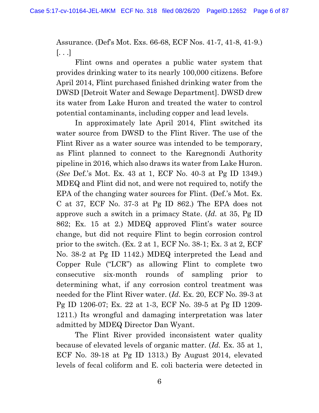Assurance. (Def's Mot. Exs. 66-68, ECF Nos. 41-7, 41-8, 41-9.)  $\left[\ldots\right]$ 

Flint owns and operates a public water system that provides drinking water to its nearly 100,000 citizens. Before April 2014, Flint purchased finished drinking water from the DWSD [Detroit Water and Sewage Department]. DWSD drew its water from Lake Huron and treated the water to control potential contaminants, including copper and lead levels.

In approximately late April 2014, Flint switched its water source from DWSD to the Flint River. The use of the Flint River as a water source was intended to be temporary, as Flint planned to connect to the Karegnondi Authority pipeline in 2016, which also draws its water from Lake Huron. (See Def.'s Mot. Ex. 43 at 1, ECF No. 40-3 at Pg ID 1349.) MDEQ and Flint did not, and were not required to, notify the EPA of the changing water sources for Flint. (Def.'s Mot. Ex. C at 37, ECF No. 37-3 at Pg ID 862.) The EPA does not approve such a switch in a primacy State. (Id. at 35, Pg ID 862; Ex. 15 at 2.) MDEQ approved Flint's water source change, but did not require Flint to begin corrosion control prior to the switch. (Ex. 2 at 1, ECF No. 38-1; Ex. 3 at 2, ECF No. 38-2 at Pg ID 1142.) MDEQ interpreted the Lead and Copper Rule ("LCR") as allowing Flint to complete two consecutive six-month rounds of sampling prior to determining what, if any corrosion control treatment was needed for the Flint River water. (Id. Ex. 20, ECF No. 39-3 at Pg ID 1206-07; Ex. 22 at 1-3, ECF No. 39-5 at Pg ID 1209- 1211.) Its wrongful and damaging interpretation was later admitted by MDEQ Director Dan Wyant.

The Flint River provided inconsistent water quality because of elevated levels of organic matter. (Id. Ex. 35 at 1, ECF No. 39-18 at Pg ID 1313.) By August 2014, elevated levels of fecal coliform and E. coli bacteria were detected in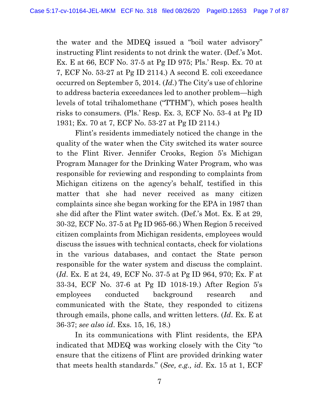the water and the MDEQ issued a "boil water advisory" instructing Flint residents to not drink the water. (Def.'s Mot. Ex. E at 66, ECF No. 37-5 at Pg ID 975; Pls.' Resp. Ex. 70 at 7, ECF No. 53-27 at Pg ID 2114.) A second E. coli exceedance occurred on September 5, 2014. (Id.) The City's use of chlorine to address bacteria exceedances led to another problem—high levels of total trihalomethane ("TTHM"), which poses health risks to consumers. (Pls.' Resp. Ex. 3, ECF No. 53-4 at Pg ID 1931; Ex. 70 at 7, ECF No. 53-27 at Pg ID 2114.)

Flint's residents immediately noticed the change in the quality of the water when the City switched its water source to the Flint River. Jennifer Crooks, Region 5's Michigan Program Manager for the Drinking Water Program, who was responsible for reviewing and responding to complaints from Michigan citizens on the agency's behalf, testified in this matter that she had never received as many citizen complaints since she began working for the EPA in 1987 than she did after the Flint water switch. (Def.'s Mot. Ex. E at 29, 30-32, ECF No. 37-5 at Pg ID 965-66.) When Region 5 received citizen complaints from Michigan residents, employees would discuss the issues with technical contacts, check for violations in the various databases, and contact the State person responsible for the water system and discuss the complaint. (Id. Ex. E at 24, 49, ECF No. 37-5 at Pg ID 964, 970; Ex. F at 33-34, ECF No. 37-6 at Pg ID 1018-19.) After Region 5's employees conducted background research and communicated with the State, they responded to citizens through emails, phone calls, and written letters. (Id. Ex. E at 36-37; see also id. Exs. 15, 16, 18.)

In its communications with Flint residents, the EPA indicated that MDEQ was working closely with the City "to ensure that the citizens of Flint are provided drinking water that meets health standards." (See, e.g., id. Ex. 15 at 1, ECF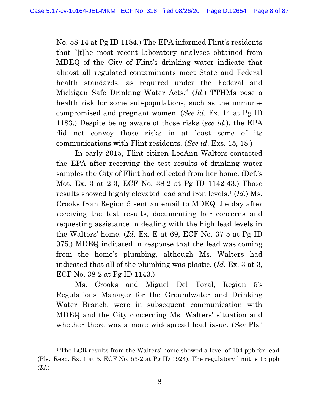No. 58-14 at Pg ID 1184.) The EPA informed Flint's residents that "[t]he most recent laboratory analyses obtained from MDEQ of the City of Flint's drinking water indicate that almost all regulated contaminants meet State and Federal health standards, as required under the Federal and Michigan Safe Drinking Water Acts." (Id.) TTHMs pose a health risk for some sub-populations, such as the immunecompromised and pregnant women. (See id. Ex. 14 at Pg ID 1183.) Despite being aware of those risks (see id.), the EPA did not convey those risks in at least some of its communications with Flint residents. (See id. Exs. 15, 18.)

In early 2015, Flint citizen LeeAnn Walters contacted the EPA after receiving the test results of drinking water samples the City of Flint had collected from her home. (Def.'s Mot. Ex. 3 at 2-3, ECF No. 38-2 at Pg ID 1142-43.) Those results showed highly elevated lead and iron levels.<sup>1</sup> (*Id.*) Ms. Crooks from Region 5 sent an email to MDEQ the day after receiving the test results, documenting her concerns and requesting assistance in dealing with the high lead levels in the Walters' home. (Id. Ex. E at 69, ECF No. 37-5 at Pg ID 975.) MDEQ indicated in response that the lead was coming from the home's plumbing, although Ms. Walters had indicated that all of the plumbing was plastic. (Id. Ex. 3 at 3, ECF No. 38-2 at Pg ID 1143.)

Ms. Crooks and Miguel Del Toral, Region 5's Regulations Manager for the Groundwater and Drinking Water Branch, were in subsequent communication with MDEQ and the City concerning Ms. Walters' situation and whether there was a more widespread lead issue. (See Pls.'

<sup>&</sup>lt;sup>1</sup> The LCR results from the Walters' home showed a level of 104 ppb for lead. (Pls.' Resp. Ex. 1 at 5, ECF No. 53-2 at Pg ID 1924). The regulatory limit is 15 ppb. (Id.)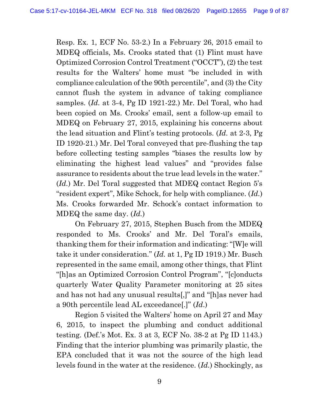Resp. Ex. 1, ECF No. 53-2.) In a February 26, 2015 email to MDEQ officials, Ms. Crooks stated that (1) Flint must have Optimized Corrosion Control Treatment ("OCCT"), (2) the test results for the Walters' home must "be included in with compliance calculation of the 90th percentile", and (3) the City cannot flush the system in advance of taking compliance samples. (Id. at 3-4, Pg ID 1921-22.) Mr. Del Toral, who had been copied on Ms. Crooks' email, sent a follow-up email to MDEQ on February 27, 2015, explaining his concerns about the lead situation and Flint's testing protocols. (Id. at 2-3, Pg ID 1920-21.) Mr. Del Toral conveyed that pre-flushing the tap before collecting testing samples "biases the results low by eliminating the highest lead values" and "provides false assurance to residents about the true lead levels in the water." (Id.) Mr. Del Toral suggested that MDEQ contact Region 5's "resident expert", Mike Schock, for help with compliance. (Id.) Ms. Crooks forwarded Mr. Schock's contact information to MDEQ the same day. (Id.)

On February 27, 2015, Stephen Busch from the MDEQ responded to Ms. Crooks' and Mr. Del Toral's emails, thanking them for their information and indicating: "[W]e will take it under consideration." (Id. at 1, Pg ID 1919.) Mr. Busch represented in the same email, among other things, that Flint "[h]as an Optimized Corrosion Control Program", "[c]onducts quarterly Water Quality Parameter monitoring at 25 sites and has not had any unusual results[,]" and "[h]as never had a 90th percentile lead AL exceedance[.]" (Id.)

Region 5 visited the Walters' home on April 27 and May 6, 2015, to inspect the plumbing and conduct additional testing. (Def.'s Mot. Ex. 3 at 3, ECF No. 38-2 at Pg ID 1143.) Finding that the interior plumbing was primarily plastic, the EPA concluded that it was not the source of the high lead levels found in the water at the residence. (Id.) Shockingly, as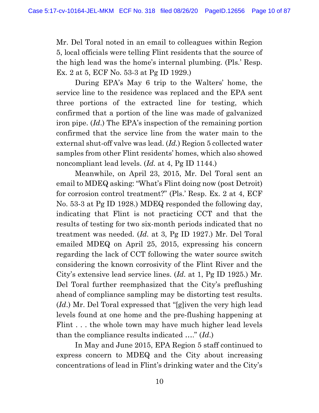Mr. Del Toral noted in an email to colleagues within Region 5, local officials were telling Flint residents that the source of the high lead was the home's internal plumbing. (Pls.' Resp. Ex. 2 at 5, ECF No. 53-3 at Pg ID 1929.)

During EPA's May 6 trip to the Walters' home, the service line to the residence was replaced and the EPA sent three portions of the extracted line for testing, which confirmed that a portion of the line was made of galvanized iron pipe. (Id.) The EPA's inspection of the remaining portion confirmed that the service line from the water main to the external shut-off valve was lead. (Id.) Region 5 collected water samples from other Flint residents' homes, which also showed noncompliant lead levels. (*Id.* at 4, Pg ID 1144.)

Meanwhile, on April 23, 2015, Mr. Del Toral sent an email to MDEQ asking: "What's Flint doing now (post Detroit) for corrosion control treatment?" (Pls.' Resp. Ex. 2 at 4, ECF No. 53-3 at Pg ID 1928.) MDEQ responded the following day, indicating that Flint is not practicing CCT and that the results of testing for two six-month periods indicated that no treatment was needed. (Id. at 3, Pg ID 1927.) Mr. Del Toral emailed MDEQ on April 25, 2015, expressing his concern regarding the lack of CCT following the water source switch considering the known corrosivity of the Flint River and the City's extensive lead service lines. (Id. at 1, Pg ID 1925.) Mr. Del Toral further reemphasized that the City's preflushing ahead of compliance sampling may be distorting test results. (Id.) Mr. Del Toral expressed that "[g]iven the very high lead levels found at one home and the pre-flushing happening at Flint . . . the whole town may have much higher lead levels than the compliance results indicated  $\dots$ " (Id.)

In May and June 2015, EPA Region 5 staff continued to express concern to MDEQ and the City about increasing concentrations of lead in Flint's drinking water and the City's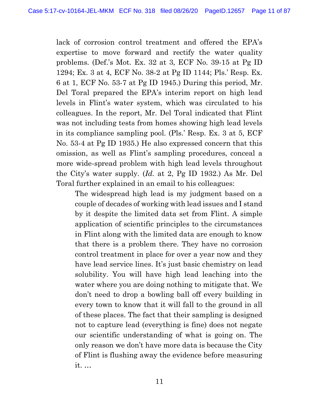lack of corrosion control treatment and offered the EPA's expertise to move forward and rectify the water quality problems. (Def.'s Mot. Ex. 32 at 3, ECF No. 39-15 at Pg ID 1294; Ex. 3 at 4, ECF No. 38-2 at Pg ID 1144; Pls.' Resp. Ex. 6 at 1, ECF No. 53-7 at Pg ID 1945.) During this period, Mr. Del Toral prepared the EPA's interim report on high lead levels in Flint's water system, which was circulated to his colleagues. In the report, Mr. Del Toral indicated that Flint was not including tests from homes showing high lead levels in its compliance sampling pool. (Pls.' Resp. Ex. 3 at 5, ECF No. 53-4 at Pg ID 1935.) He also expressed concern that this omission, as well as Flint's sampling procedures, conceal a more wide-spread problem with high lead levels throughout the City's water supply. (Id. at 2, Pg ID 1932.) As Mr. Del Toral further explained in an email to his colleagues:

The widespread high lead is my judgment based on a couple of decades of working with lead issues and I stand by it despite the limited data set from Flint. A simple application of scientific principles to the circumstances in Flint along with the limited data are enough to know that there is a problem there. They have no corrosion control treatment in place for over a year now and they have lead service lines. It's just basic chemistry on lead solubility. You will have high lead leaching into the water where you are doing nothing to mitigate that. We don't need to drop a bowling ball off every building in every town to know that it will fall to the ground in all of these places. The fact that their sampling is designed not to capture lead (everything is fine) does not negate our scientific understanding of what is going on. The only reason we don't have more data is because the City of Flint is flushing away the evidence before measuring it. …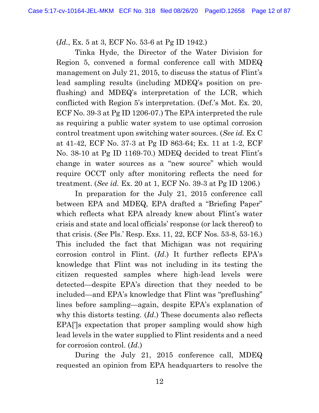(Id., Ex. 5 at 3, ECF No. 53-6 at Pg ID 1942.)

Tinka Hyde, the Director of the Water Division for Region 5, convened a formal conference call with MDEQ management on July 21, 2015, to discuss the status of Flint's lead sampling results (including MDEQ's position on preflushing) and MDEQ's interpretation of the LCR, which conflicted with Region 5's interpretation. (Def.'s Mot. Ex. 20, ECF No. 39-3 at Pg ID 1206-07.) The EPA interpreted the rule as requiring a public water system to use optimal corrosion control treatment upon switching water sources. (See id. Ex C at 41-42, ECF No. 37-3 at Pg ID 863-64; Ex. 11 at 1-2, ECF No. 38-10 at Pg ID 1169-70.) MDEQ decided to treat Flint's change in water sources as a "new source" which would require OCCT only after monitoring reflects the need for treatment. (See id. Ex. 20 at 1, ECF No. 39-3 at Pg ID 1206.)

In preparation for the July 21, 2015 conference call between EPA and MDEQ, EPA drafted a "Briefing Paper" which reflects what EPA already knew about Flint's water crisis and state and local officials' response (or lack thereof) to that crisis. (See Pls.' Resp. Exs. 11, 22, ECF Nos. 53-8, 53-16.) This included the fact that Michigan was not requiring corrosion control in Flint. (Id.) It further reflects EPA's knowledge that Flint was not including in its testing the citizen requested samples where high-lead levels were detected—despite EPA's direction that they needed to be included—and EPA's knowledge that Flint was "preflushing" lines before sampling—again, despite EPA's explanation of why this distorts testing. (Id.) These documents also reflects EPA[']s expectation that proper sampling would show high lead levels in the water supplied to Flint residents and a need for corrosion control. (Id.)

During the July 21, 2015 conference call, MDEQ requested an opinion from EPA headquarters to resolve the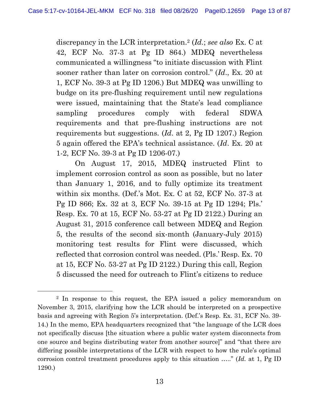discrepancy in the LCR interpretation.<sup>2</sup> (*Id.*; see also Ex. C at 42, ECF No. 37-3 at Pg ID 864.) MDEQ nevertheless communicated a willingness "to initiate discussion with Flint sooner rather than later on corrosion control." (Id., Ex. 20 at 1, ECF No. 39-3 at Pg ID 1206.) But MDEQ was unwilling to budge on its pre-flushing requirement until new regulations were issued, maintaining that the State's lead compliance sampling procedures comply with federal SDWA requirements and that pre-flushing instructions are not requirements but suggestions. (Id. at 2, Pg ID 1207.) Region 5 again offered the EPA's technical assistance. (Id. Ex. 20 at 1-2, ECF No. 39-3 at Pg ID 1206-07.)

On August 17, 2015, MDEQ instructed Flint to implement corrosion control as soon as possible, but no later than January 1, 2016, and to fully optimize its treatment within six months. (Def.'s Mot. Ex. C at 52, ECF No. 37-3 at Pg ID 866; Ex. 32 at 3, ECF No. 39-15 at Pg ID 1294; Pls.' Resp. Ex. 70 at 15, ECF No. 53-27 at Pg ID 2122.) During an August 31, 2015 conference call between MDEQ and Region 5, the results of the second six-month (January-July 2015) monitoring test results for Flint were discussed, which reflected that corrosion control was needed. (Pls.' Resp. Ex. 70 at 15, ECF No. 53-27 at Pg ID 2122.) During this call, Region 5 discussed the need for outreach to Flint's citizens to reduce

<sup>2</sup> In response to this request, the EPA issued a policy memorandum on November 3, 2015, clarifying how the LCR should be interpreted on a prospective basis and agreeing with Region 5's interpretation. (Def.'s Resp. Ex. 31, ECF No. 39- 14.) In the memo, EPA headquarters recognized that "the language of the LCR does not specifically discuss [the situation where a public water system disconnects from one source and begins distributing water from another source]" and "that there are differing possible interpretations of the LCR with respect to how the rule's optimal corrosion control treatment procedures apply to this situation ….." (Id. at 1, Pg ID 1290.)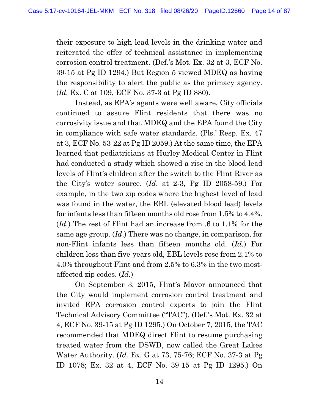their exposure to high lead levels in the drinking water and reiterated the offer of technical assistance in implementing corrosion control treatment. (Def.'s Mot. Ex. 32 at 3, ECF No. 39-15 at Pg ID 1294.) But Region 5 viewed MDEQ as having the responsibility to alert the public as the primacy agency. (Id. Ex. C at 109, ECF No. 37-3 at Pg ID 880).

Instead, as EPA's agents were well aware, City officials continued to assure Flint residents that there was no corrosivity issue and that MDEQ and the EPA found the City in compliance with safe water standards. (Pls.' Resp. Ex. 47 at 3, ECF No. 53-22 at Pg ID 2059.) At the same time, the EPA learned that pediatricians at Hurley Medical Center in Flint had conducted a study which showed a rise in the blood lead levels of Flint's children after the switch to the Flint River as the City's water source. (Id. at 2-3, Pg ID 2058-59.) For example, in the two zip codes where the highest level of lead was found in the water, the EBL (elevated blood lead) levels for infants less than fifteen months old rose from 1.5% to 4.4%. (Id.) The rest of Flint had an increase from .6 to 1.1% for the same age group. (Id.) There was no change, in comparison, for non-Flint infants less than fifteen months old. (Id.) For children less than five-years old, EBL levels rose from 2.1% to 4.0% throughout Flint and from 2.5% to 6.3% in the two mostaffected zip codes. (Id.)

On September 3, 2015, Flint's Mayor announced that the City would implement corrosion control treatment and invited EPA corrosion control experts to join the Flint Technical Advisory Committee ("TAC"). (Def.'s Mot. Ex. 32 at 4, ECF No. 39-15 at Pg ID 1295.) On October 7, 2015, the TAC recommended that MDEQ direct Flint to resume purchasing treated water from the DSWD, now called the Great Lakes Water Authority. (Id. Ex. G at 73, 75-76; ECF No. 37-3 at Pg ID 1078; Ex. 32 at 4, ECF No. 39-15 at Pg ID 1295.) On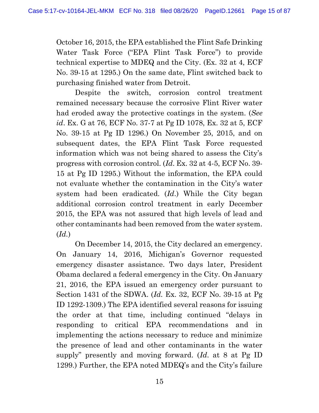October 16, 2015, the EPA established the Flint Safe Drinking Water Task Force ("EPA Flint Task Force") to provide technical expertise to MDEQ and the City. (Ex. 32 at 4, ECF No. 39-15 at 1295.) On the same date, Flint switched back to purchasing finished water from Detroit.

Despite the switch, corrosion control treatment remained necessary because the corrosive Flint River water had eroded away the protective coatings in the system. (See id. Ex. G at 76, ECF No. 37-7 at Pg ID 1078, Ex. 32 at 5, ECF No. 39-15 at Pg ID 1296.) On November 25, 2015, and on subsequent dates, the EPA Flint Task Force requested information which was not being shared to assess the City's progress with corrosion control. (Id. Ex. 32 at 4-5, ECF No. 39- 15 at Pg ID 1295.) Without the information, the EPA could not evaluate whether the contamination in the City's water system had been eradicated. (Id.) While the City began additional corrosion control treatment in early December 2015, the EPA was not assured that high levels of lead and other contaminants had been removed from the water system.  $(Id.)$ 

On December 14, 2015, the City declared an emergency. On January 14, 2016, Michigan's Governor requested emergency disaster assistance. Two days later, President Obama declared a federal emergency in the City. On January 21, 2016, the EPA issued an emergency order pursuant to Section 1431 of the SDWA. (Id. Ex. 32, ECF No. 39-15 at Pg ID 1292-1309.) The EPA identified several reasons for issuing the order at that time, including continued "delays in responding to critical EPA recommendations and in implementing the actions necessary to reduce and minimize the presence of lead and other contaminants in the water supply" presently and moving forward. (Id. at 8 at Pg ID 1299.) Further, the EPA noted MDEQ's and the City's failure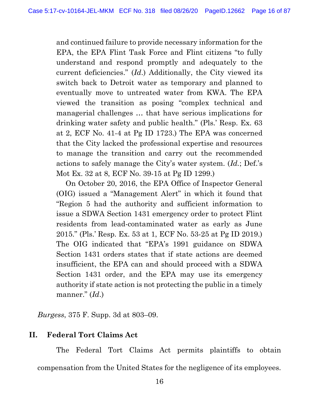and continued failure to provide necessary information for the EPA, the EPA Flint Task Force and Flint citizens "to fully understand and respond promptly and adequately to the current deficiencies." (Id.) Additionally, the City viewed its switch back to Detroit water as temporary and planned to eventually move to untreated water from KWA. The EPA viewed the transition as posing "complex technical and managerial challenges … that have serious implications for drinking water safety and public health." (Pls.' Resp. Ex. 63 at 2, ECF No. 41-4 at Pg ID 1723.) The EPA was concerned that the City lacked the professional expertise and resources to manage the transition and carry out the recommended actions to safely manage the City's water system. (Id.; Def.'s Mot Ex. 32 at 8, ECF No. 39-15 at Pg ID 1299.)

On October 20, 2016, the EPA Office of Inspector General (OIG) issued a "Management Alert" in which it found that "Region 5 had the authority and sufficient information to issue a SDWA Section 1431 emergency order to protect Flint residents from lead-contaminated water as early as June 2015." (Pls.' Resp. Ex. 53 at 1, ECF No. 53-25 at Pg ID 2019.) The OIG indicated that "EPA's 1991 guidance on SDWA Section 1431 orders states that if state actions are deemed insufficient, the EPA can and should proceed with a SDWA Section 1431 order, and the EPA may use its emergency authority if state action is not protecting the public in a timely manner."  $(Id.)$ 

Burgess, 375 F. Supp. 3d at 803–09.

## II. Federal Tort Claims Act

The Federal Tort Claims Act permits plaintiffs to obtain compensation from the United States for the negligence of its employees.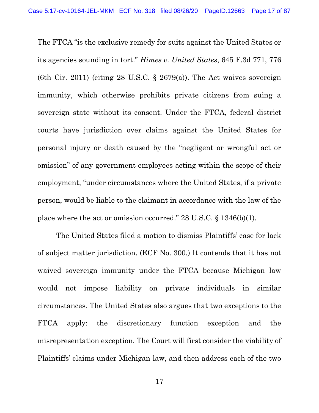The FTCA "is the exclusive remedy for suits against the United States or its agencies sounding in tort." Himes v. United States, 645 F.3d 771, 776 (6th Cir. 2011) (citing 28 U.S.C.  $\S$  2679(a)). The Act waives sovereign immunity, which otherwise prohibits private citizens from suing a sovereign state without its consent. Under the FTCA, federal district courts have jurisdiction over claims against the United States for personal injury or death caused by the "negligent or wrongful act or omission" of any government employees acting within the scope of their employment, "under circumstances where the United States, if a private person, would be liable to the claimant in accordance with the law of the place where the act or omission occurred." 28 U.S.C. § 1346(b)(1).

The United States filed a motion to dismiss Plaintiffs' case for lack of subject matter jurisdiction. (ECF No. 300.) It contends that it has not waived sovereign immunity under the FTCA because Michigan law would not impose liability on private individuals in similar circumstances. The United States also argues that two exceptions to the FTCA apply: the discretionary function exception and the misrepresentation exception. The Court will first consider the viability of Plaintiffs' claims under Michigan law, and then address each of the two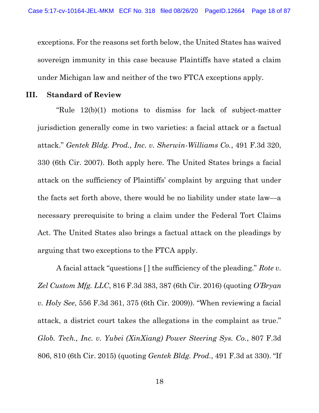exceptions. For the reasons set forth below, the United States has waived sovereign immunity in this case because Plaintiffs have stated a claim under Michigan law and neither of the two FTCA exceptions apply.

#### III. Standard of Review

"Rule 12(b)(1) motions to dismiss for lack of subject-matter jurisdiction generally come in two varieties: a facial attack or a factual attack." Gentek Bldg. Prod., Inc. v. Sherwin-Williams Co., 491 F.3d 320, 330 (6th Cir. 2007). Both apply here. The United States brings a facial attack on the sufficiency of Plaintiffs' complaint by arguing that under the facts set forth above, there would be no liability under state law—a necessary prerequisite to bring a claim under the Federal Tort Claims Act. The United States also brings a factual attack on the pleadings by arguing that two exceptions to the FTCA apply.

A facial attack "questions [ ] the sufficiency of the pleading." Rote v. Zel Custom Mfg. LLC, 816 F.3d 383, 387 (6th Cir. 2016) (quoting O'Bryan v. Holy See, 556 F.3d 361, 375 (6th Cir. 2009)). "When reviewing a facial attack, a district court takes the allegations in the complaint as true." Glob. Tech., Inc. v. Yubei (XinXiang) Power Steering Sys. Co., 807 F.3d 806, 810 (6th Cir. 2015) (quoting Gentek Bldg. Prod., 491 F.3d at 330). "If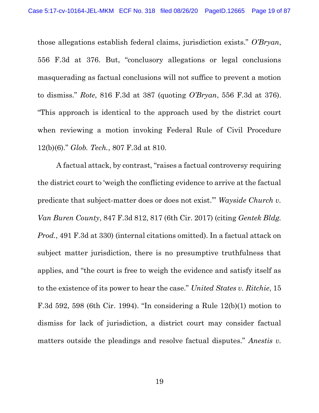those allegations establish federal claims, jurisdiction exists." O'Bryan, 556 F.3d at 376. But, "conclusory allegations or legal conclusions masquerading as factual conclusions will not suffice to prevent a motion to dismiss." Rote, 816 F.3d at 387 (quoting O'Bryan, 556 F.3d at 376). "This approach is identical to the approach used by the district court when reviewing a motion invoking Federal Rule of Civil Procedure 12(b)(6)." Glob. Tech., 807 F.3d at 810.

A factual attack, by contrast, "raises a factual controversy requiring the district court to 'weigh the conflicting evidence to arrive at the factual predicate that subject-matter does or does not exist.'" Wayside Church v. Van Buren County, 847 F.3d 812, 817 (6th Cir. 2017) (citing Gentek Bldg. Prod., 491 F.3d at 330) (internal citations omitted). In a factual attack on subject matter jurisdiction, there is no presumptive truthfulness that applies, and "the court is free to weigh the evidence and satisfy itself as to the existence of its power to hear the case." United States v. Ritchie, 15 F.3d 592, 598 (6th Cir. 1994). "In considering a Rule 12(b)(1) motion to dismiss for lack of jurisdiction, a district court may consider factual matters outside the pleadings and resolve factual disputes." Anestis v.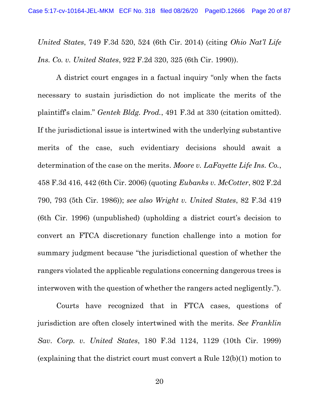United States, 749 F.3d 520, 524 (6th Cir. 2014) (citing Ohio Nat'l Life Ins. Co. v. United States, 922 F.2d 320, 325 (6th Cir. 1990)).

A district court engages in a factual inquiry "only when the facts necessary to sustain jurisdiction do not implicate the merits of the plaintiff's claim." Gentek Bldg. Prod., 491 F.3d at 330 (citation omitted). If the jurisdictional issue is intertwined with the underlying substantive merits of the case, such evidentiary decisions should await a determination of the case on the merits. Moore v. LaFayette Life Ins. Co., 458 F.3d 416, 442 (6th Cir. 2006) (quoting Eubanks v. McCotter, 802 F.2d 790, 793 (5th Cir. 1986)); see also Wright v. United States, 82 F.3d 419 (6th Cir. 1996) (unpublished) (upholding a district court's decision to convert an FTCA discretionary function challenge into a motion for summary judgment because "the jurisdictional question of whether the rangers violated the applicable regulations concerning dangerous trees is interwoven with the question of whether the rangers acted negligently.").

Courts have recognized that in FTCA cases, questions of jurisdiction are often closely intertwined with the merits. See Franklin Sav. Corp. v. United States, 180 F.3d 1124, 1129 (10th Cir. 1999) (explaining that the district court must convert a Rule 12(b)(1) motion to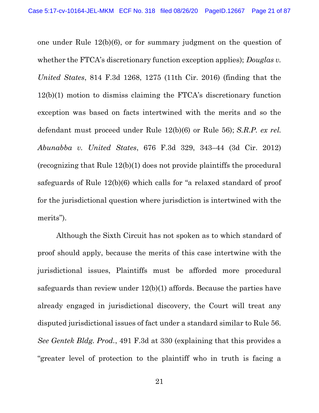one under Rule 12(b)(6), or for summary judgment on the question of whether the FTCA's discretionary function exception applies); *Douglas v*. United States, 814 F.3d 1268, 1275 (11th Cir. 2016) (finding that the 12(b)(1) motion to dismiss claiming the FTCA's discretionary function exception was based on facts intertwined with the merits and so the defendant must proceed under Rule 12(b)(6) or Rule 56); S.R.P. ex rel. Abunabba v. United States, 676 F.3d 329, 343–44 (3d Cir. 2012) (recognizing that Rule 12(b)(1) does not provide plaintiffs the procedural safeguards of Rule 12(b)(6) which calls for "a relaxed standard of proof for the jurisdictional question where jurisdiction is intertwined with the merits").

Although the Sixth Circuit has not spoken as to which standard of proof should apply, because the merits of this case intertwine with the jurisdictional issues, Plaintiffs must be afforded more procedural safeguards than review under 12(b)(1) affords. Because the parties have already engaged in jurisdictional discovery, the Court will treat any disputed jurisdictional issues of fact under a standard similar to Rule 56. See Gentek Bldg. Prod., 491 F.3d at 330 (explaining that this provides a "greater level of protection to the plaintiff who in truth is facing a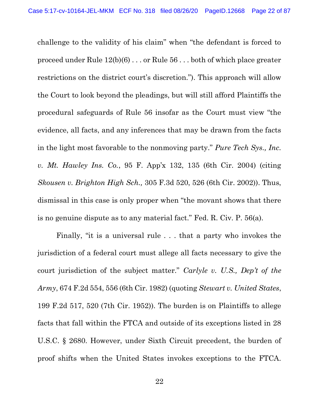challenge to the validity of his claim" when "the defendant is forced to proceed under Rule 12(b)(6) . . . or Rule 56 . . . both of which place greater restrictions on the district court's discretion."). This approach will allow the Court to look beyond the pleadings, but will still afford Plaintiffs the procedural safeguards of Rule 56 insofar as the Court must view "the evidence, all facts, and any inferences that may be drawn from the facts in the light most favorable to the nonmoving party." Pure Tech Sys., Inc. v. Mt. Hawley Ins. Co., 95 F. App'x 132, 135 (6th Cir. 2004) (citing Skousen v. Brighton High Sch., 305 F.3d 520, 526 (6th Cir. 2002)). Thus, dismissal in this case is only proper when "the movant shows that there is no genuine dispute as to any material fact." Fed. R. Civ. P. 56(a).

Finally, "it is a universal rule . . . that a party who invokes the jurisdiction of a federal court must allege all facts necessary to give the court jurisdiction of the subject matter." Carlyle v. U.S., Dep't of the Army, 674 F.2d 554, 556 (6th Cir. 1982) (quoting Stewart v. United States, 199 F.2d 517, 520 (7th Cir. 1952)). The burden is on Plaintiffs to allege facts that fall within the FTCA and outside of its exceptions listed in 28 U.S.C. § 2680. However, under Sixth Circuit precedent, the burden of proof shifts when the United States invokes exceptions to the FTCA.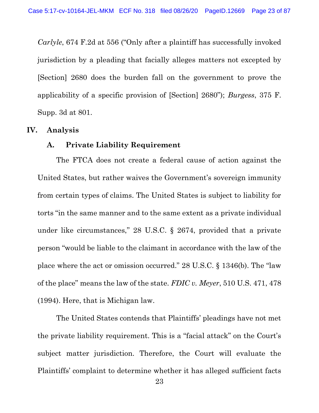Carlyle, 674 F.2d at 556 ("Only after a plaintiff has successfully invoked jurisdiction by a pleading that facially alleges matters not excepted by [Section] 2680 does the burden fall on the government to prove the applicability of a specific provision of [Section] 2680"); Burgess, 375 F. Supp. 3d at 801.

#### IV. Analysis

#### A. Private Liability Requirement

The FTCA does not create a federal cause of action against the United States, but rather waives the Government's sovereign immunity from certain types of claims. The United States is subject to liability for torts "in the same manner and to the same extent as a private individual under like circumstances," 28 U.S.C. § 2674, provided that a private person "would be liable to the claimant in accordance with the law of the place where the act or omission occurred." 28 U.S.C. § 1346(b). The "law of the place" means the law of the state. FDIC v. Meyer, 510 U.S. 471, 478 (1994). Here, that is Michigan law.

The United States contends that Plaintiffs' pleadings have not met the private liability requirement. This is a "facial attack" on the Court's subject matter jurisdiction. Therefore, the Court will evaluate the Plaintiffs' complaint to determine whether it has alleged sufficient facts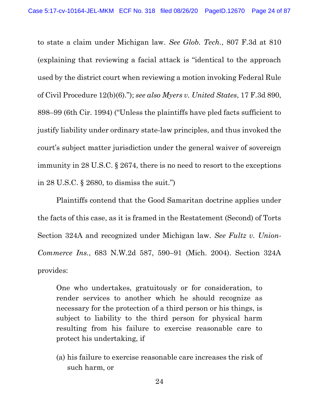to state a claim under Michigan law. See Glob. Tech., 807 F.3d at 810 (explaining that reviewing a facial attack is "identical to the approach used by the district court when reviewing a motion invoking Federal Rule of Civil Procedure 12(b)(6)."); see also Myers v. United States, 17 F.3d 890, 898–99 (6th Cir. 1994) ("Unless the plaintiffs have pled facts sufficient to justify liability under ordinary state-law principles, and thus invoked the court's subject matter jurisdiction under the general waiver of sovereign immunity in 28 U.S.C. § 2674, there is no need to resort to the exceptions in 28 U.S.C. § 2680, to dismiss the suit.")

Plaintiffs contend that the Good Samaritan doctrine applies under the facts of this case, as it is framed in the Restatement (Second) of Torts Section 324A and recognized under Michigan law. See Fultz v. Union-Commerce Ins., 683 N.W.2d 587, 590–91 (Mich. 2004). Section 324A provides:

One who undertakes, gratuitously or for consideration, to render services to another which he should recognize as necessary for the protection of a third person or his things, is subject to liability to the third person for physical harm resulting from his failure to exercise reasonable care to protect his undertaking, if

(a) his failure to exercise reasonable care increases the risk of such harm, or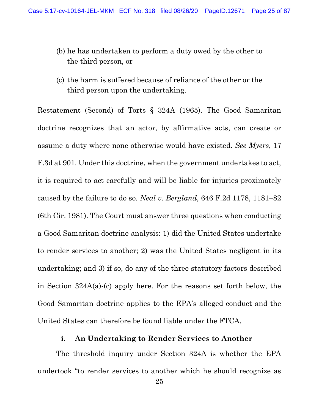- (b) he has undertaken to perform a duty owed by the other to the third person, or
- (c) the harm is suffered because of reliance of the other or the third person upon the undertaking.

Restatement (Second) of Torts § 324A (1965). The Good Samaritan doctrine recognizes that an actor, by affirmative acts, can create or assume a duty where none otherwise would have existed. See Myers, 17 F.3d at 901. Under this doctrine, when the government undertakes to act, it is required to act carefully and will be liable for injuries proximately caused by the failure to do so. Neal v. Bergland, 646 F.2d 1178, 1181–82 (6th Cir. 1981). The Court must answer three questions when conducting a Good Samaritan doctrine analysis: 1) did the United States undertake to render services to another; 2) was the United States negligent in its undertaking; and 3) if so, do any of the three statutory factors described in Section 324A(a)-(c) apply here. For the reasons set forth below, the Good Samaritan doctrine applies to the EPA's alleged conduct and the United States can therefore be found liable under the FTCA.

### i. An Undertaking to Render Services to Another

The threshold inquiry under Section 324A is whether the EPA undertook "to render services to another which he should recognize as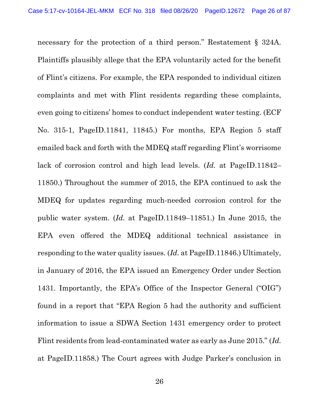necessary for the protection of a third person." Restatement § 324A. Plaintiffs plausibly allege that the EPA voluntarily acted for the benefit of Flint's citizens. For example, the EPA responded to individual citizen complaints and met with Flint residents regarding these complaints, even going to citizens' homes to conduct independent water testing. (ECF No. 315-1, PageID.11841, 11845.) For months, EPA Region 5 staff emailed back and forth with the MDEQ staff regarding Flint's worrisome lack of corrosion control and high lead levels. (Id. at PageID.11842– 11850.) Throughout the summer of 2015, the EPA continued to ask the MDEQ for updates regarding much-needed corrosion control for the public water system. (Id. at PageID.11849–11851.) In June 2015, the EPA even offered the MDEQ additional technical assistance in responding to the water quality issues. (Id. at PageID.11846.) Ultimately, in January of 2016, the EPA issued an Emergency Order under Section 1431. Importantly, the EPA's Office of the Inspector General ("OIG") found in a report that "EPA Region 5 had the authority and sufficient information to issue a SDWA Section 1431 emergency order to protect Flint residents from lead-contaminated water as early as June 2015." (Id. at PageID.11858.) The Court agrees with Judge Parker's conclusion in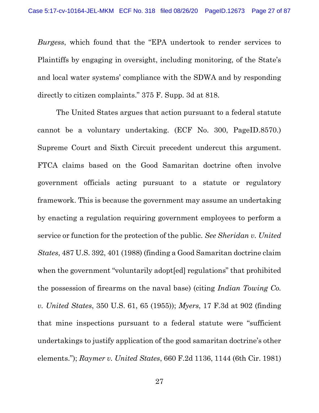Burgess, which found that the "EPA undertook to render services to Plaintiffs by engaging in oversight, including monitoring, of the State's and local water systems' compliance with the SDWA and by responding directly to citizen complaints." 375 F. Supp. 3d at 818.

The United States argues that action pursuant to a federal statute cannot be a voluntary undertaking. (ECF No. 300, PageID.8570.) Supreme Court and Sixth Circuit precedent undercut this argument. FTCA claims based on the Good Samaritan doctrine often involve government officials acting pursuant to a statute or regulatory framework. This is because the government may assume an undertaking by enacting a regulation requiring government employees to perform a service or function for the protection of the public. See Sheridan v. United States, 487 U.S. 392, 401 (1988) (finding a Good Samaritan doctrine claim when the government "voluntarily adopt [ed] regulations" that prohibited the possession of firearms on the naval base) (citing Indian Towing Co. v. United States, 350 U.S. 61, 65 (1955)); Myers, 17 F.3d at 902 (finding that mine inspections pursuant to a federal statute were "sufficient undertakings to justify application of the good samaritan doctrine's other elements."); Raymer v. United States, 660 F.2d 1136, 1144 (6th Cir. 1981)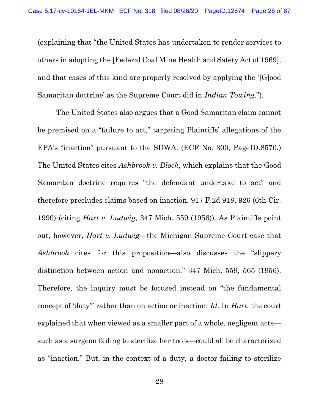(explaining that "the United States has undertaken to render services to others in adopting the [Federal Coal Mine Health and Safety Act of 1969], and that cases of this kind are properly resolved by applying the '[G]ood Samaritan doctrine' as the Supreme Court did in Indian Towing.").

The United States also argues that a Good Samaritan claim cannot be premised on a "failure to act," targeting Plaintiffs' allegations of the EPA's "inaction" pursuant to the SDWA. (ECF No. 300, PageID.8570.) The United States cites Ashbrook v. Block, which explains that the Good Samaritan doctrine requires "the defendant undertake to act" and therefore precludes claims based on inaction. 917 F.2d 918, 926 (6th Cir. 1990) (citing Hart v. Ludwig, 347 Mich. 559 (1956)). As Plaintiffs point out, however, Hart v. Ludwig—the Michigan Supreme Court case that Ashbrook cites for this proposition—also discusses the "slippery distinction between action and nonaction." 347 Mich. 559, 565 (1956). Therefore, the inquiry must be focused instead on "the fundamental concept of 'duty'" rather than on action or inaction. Id. In Hart, the court explained that when viewed as a smaller part of a whole, negligent acts such as a surgeon failing to sterilize her tools—could all be characterized as "inaction." But, in the context of a duty, a doctor failing to sterilize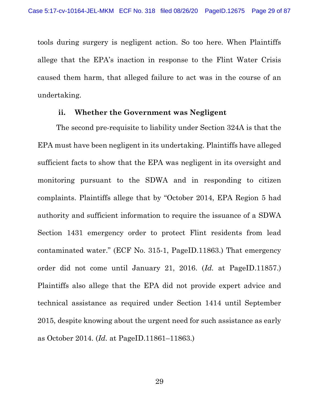tools during surgery is negligent action. So too here. When Plaintiffs allege that the EPA's inaction in response to the Flint Water Crisis caused them harm, that alleged failure to act was in the course of an undertaking.

#### ii. Whether the Government was Negligent

The second pre-requisite to liability under Section 324A is that the EPA must have been negligent in its undertaking. Plaintiffs have alleged sufficient facts to show that the EPA was negligent in its oversight and monitoring pursuant to the SDWA and in responding to citizen complaints. Plaintiffs allege that by "October 2014, EPA Region 5 had authority and sufficient information to require the issuance of a SDWA Section 1431 emergency order to protect Flint residents from lead contaminated water." (ECF No. 315-1, PageID.11863.) That emergency order did not come until January 21, 2016. (Id. at PageID.11857.) Plaintiffs also allege that the EPA did not provide expert advice and technical assistance as required under Section 1414 until September 2015, despite knowing about the urgent need for such assistance as early as October 2014. (Id. at PageID.11861–11863.)

29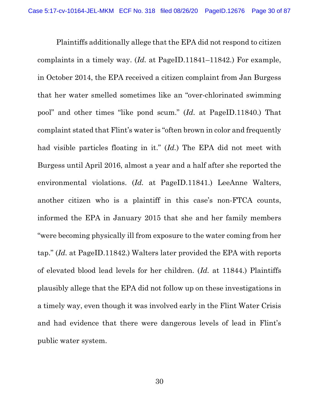Plaintiffs additionally allege that the EPA did not respond to citizen complaints in a timely way. (Id. at PageID.11841–11842.) For example, in October 2014, the EPA received a citizen complaint from Jan Burgess that her water smelled sometimes like an "over-chlorinated swimming pool" and other times "like pond scum." (Id. at PageID.11840.) That complaint stated that Flint's water is "often brown in color and frequently had visible particles floating in it."  $(Id.)$  The EPA did not meet with Burgess until April 2016, almost a year and a half after she reported the environmental violations. (Id. at PageID.11841.) LeeAnne Walters, another citizen who is a plaintiff in this case's non-FTCA counts, informed the EPA in January 2015 that she and her family members "were becoming physically ill from exposure to the water coming from her tap." (Id. at PageID.11842.) Walters later provided the EPA with reports of elevated blood lead levels for her children. (Id. at 11844.) Plaintiffs plausibly allege that the EPA did not follow up on these investigations in a timely way, even though it was involved early in the Flint Water Crisis and had evidence that there were dangerous levels of lead in Flint's public water system.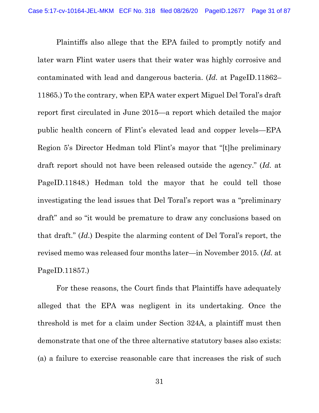Plaintiffs also allege that the EPA failed to promptly notify and later warn Flint water users that their water was highly corrosive and contaminated with lead and dangerous bacteria. (Id. at PageID.11862– 11865.) To the contrary, when EPA water expert Miguel Del Toral's draft report first circulated in June 2015—a report which detailed the major public health concern of Flint's elevated lead and copper levels—EPA Region 5's Director Hedman told Flint's mayor that "[t]he preliminary draft report should not have been released outside the agency." (Id. at PageID.11848.) Hedman told the mayor that he could tell those investigating the lead issues that Del Toral's report was a "preliminary draft" and so "it would be premature to draw any conclusions based on that draft." (Id.) Despite the alarming content of Del Toral's report, the revised memo was released four months later—in November 2015. (Id. at PageID.11857.)

For these reasons, the Court finds that Plaintiffs have adequately alleged that the EPA was negligent in its undertaking. Once the threshold is met for a claim under Section 324A, a plaintiff must then demonstrate that one of the three alternative statutory bases also exists: (a) a failure to exercise reasonable care that increases the risk of such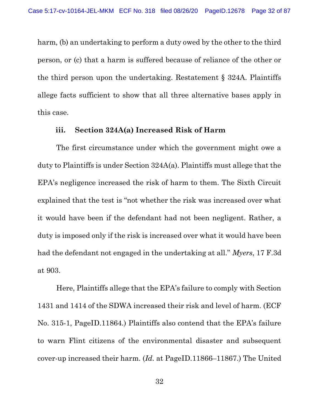harm, (b) an undertaking to perform a duty owed by the other to the third person, or (c) that a harm is suffered because of reliance of the other or the third person upon the undertaking. Restatement § 324A. Plaintiffs allege facts sufficient to show that all three alternative bases apply in this case.

#### iii. Section 324A(a) Increased Risk of Harm

The first circumstance under which the government might owe a duty to Plaintiffs is under Section 324A(a). Plaintiffs must allege that the EPA's negligence increased the risk of harm to them. The Sixth Circuit explained that the test is "not whether the risk was increased over what it would have been if the defendant had not been negligent. Rather, a duty is imposed only if the risk is increased over what it would have been had the defendant not engaged in the undertaking at all." Myers, 17 F.3d at 903.

Here, Plaintiffs allege that the EPA's failure to comply with Section 1431 and 1414 of the SDWA increased their risk and level of harm. (ECF No. 315-1, PageID.11864.) Plaintiffs also contend that the EPA's failure to warn Flint citizens of the environmental disaster and subsequent cover-up increased their harm. (Id. at PageID.11866–11867.) The United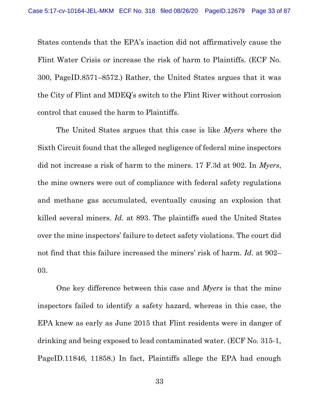States contends that the EPA's inaction did not affirmatively cause the Flint Water Crisis or increase the risk of harm to Plaintiffs. (ECF No. 300, PageID.8571–8572.) Rather, the United States argues that it was the City of Flint and MDEQ's switch to the Flint River without corrosion control that caused the harm to Plaintiffs.

The United States argues that this case is like Myers where the Sixth Circuit found that the alleged negligence of federal mine inspectors did not increase a risk of harm to the miners. 17 F.3d at 902. In Myers, the mine owners were out of compliance with federal safety regulations and methane gas accumulated, eventually causing an explosion that killed several miners. Id. at 893. The plaintiffs sued the United States over the mine inspectors' failure to detect safety violations. The court did not find that this failure increased the miners' risk of harm. Id. at 902– 03.

One key difference between this case and Myers is that the mine inspectors failed to identify a safety hazard, whereas in this case, the EPA knew as early as June 2015 that Flint residents were in danger of drinking and being exposed to lead contaminated water. (ECF No. 315-1, PageID.11846, 11858.) In fact, Plaintiffs allege the EPA had enough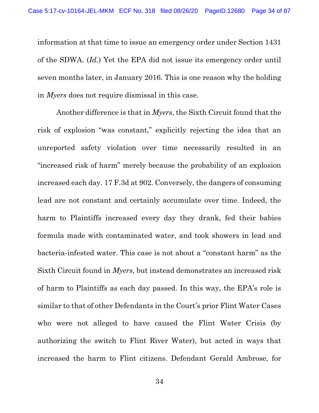information at that time to issue an emergency order under Section 1431 of the SDWA. (Id.) Yet the EPA did not issue its emergency order until seven months later, in January 2016. This is one reason why the holding in Myers does not require dismissal in this case.

Another difference is that in Myers, the Sixth Circuit found that the risk of explosion "was constant," explicitly rejecting the idea that an unreported safety violation over time necessarily resulted in an "increased risk of harm" merely because the probability of an explosion increased each day. 17 F.3d at 902. Conversely, the dangers of consuming lead are not constant and certainly accumulate over time. Indeed, the harm to Plaintiffs increased every day they drank, fed their babies formula made with contaminated water, and took showers in lead and bacteria-infested water. This case is not about a "constant harm" as the Sixth Circuit found in Myers, but instead demonstrates an increased risk of harm to Plaintiffs as each day passed. In this way, the EPA's role is similar to that of other Defendants in the Court's prior Flint Water Cases who were not alleged to have caused the Flint Water Crisis (by authorizing the switch to Flint River Water), but acted in ways that increased the harm to Flint citizens. Defendant Gerald Ambrose, for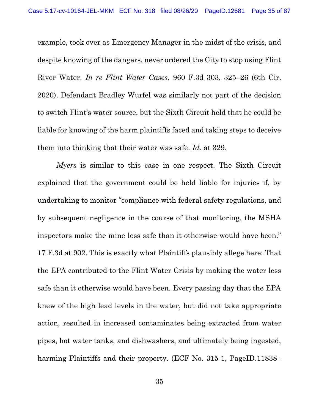example, took over as Emergency Manager in the midst of the crisis, and despite knowing of the dangers, never ordered the City to stop using Flint River Water. In re Flint Water Cases, 960 F.3d 303, 325–26 (6th Cir. 2020). Defendant Bradley Wurfel was similarly not part of the decision to switch Flint's water source, but the Sixth Circuit held that he could be liable for knowing of the harm plaintiffs faced and taking steps to deceive them into thinking that their water was safe. Id. at 329.

Myers is similar to this case in one respect. The Sixth Circuit explained that the government could be held liable for injuries if, by undertaking to monitor "compliance with federal safety regulations, and by subsequent negligence in the course of that monitoring, the MSHA inspectors make the mine less safe than it otherwise would have been." 17 F.3d at 902. This is exactly what Plaintiffs plausibly allege here: That the EPA contributed to the Flint Water Crisis by making the water less safe than it otherwise would have been. Every passing day that the EPA knew of the high lead levels in the water, but did not take appropriate action, resulted in increased contaminates being extracted from water pipes, hot water tanks, and dishwashers, and ultimately being ingested, harming Plaintiffs and their property. (ECF No. 315-1, PageID.11838–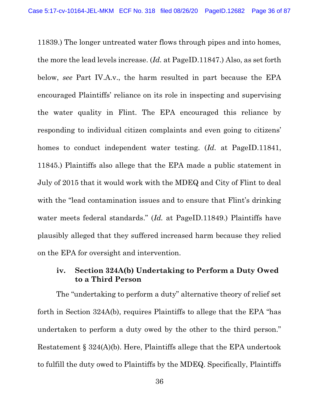11839.) The longer untreated water flows through pipes and into homes, the more the lead levels increase. (Id. at PageID.11847.) Also, as set forth below, see Part IV.A.v., the harm resulted in part because the EPA encouraged Plaintiffs' reliance on its role in inspecting and supervising the water quality in Flint. The EPA encouraged this reliance by responding to individual citizen complaints and even going to citizens' homes to conduct independent water testing. (Id. at PageID.11841, 11845.) Plaintiffs also allege that the EPA made a public statement in July of 2015 that it would work with the MDEQ and City of Flint to deal with the "lead contamination issues and to ensure that Flint's drinking water meets federal standards." (Id. at PageID.11849.) Plaintiffs have plausibly alleged that they suffered increased harm because they relied on the EPA for oversight and intervention.

## iv. Section 324A(b) Undertaking to Perform a Duty Owed to a Third Person

The "undertaking to perform a duty" alternative theory of relief set forth in Section 324A(b), requires Plaintiffs to allege that the EPA "has undertaken to perform a duty owed by the other to the third person." Restatement § 324(A)(b). Here, Plaintiffs allege that the EPA undertook to fulfill the duty owed to Plaintiffs by the MDEQ. Specifically, Plaintiffs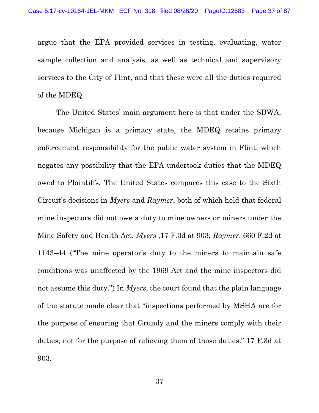argue that the EPA provided services in testing, evaluating, water sample collection and analysis, as well as technical and supervisory services to the City of Flint, and that these were all the duties required of the MDEQ.

The United States' main argument here is that under the SDWA, because Michigan is a primacy state, the MDEQ retains primary enforcement responsibility for the public water system in Flint, which negates any possibility that the EPA undertook duties that the MDEQ owed to Plaintiffs. The United States compares this case to the Sixth Circuit's decisions in Myers and Raymer, both of which held that federal mine inspectors did not owe a duty to mine owners or miners under the Mine Safety and Health Act. Myers ,17 F.3d at 903; Raymer, 660 F.2d at 1143–44 ("The mine operator's duty to the miners to maintain safe conditions was unaffected by the 1969 Act and the mine inspectors did not assume this duty.") In *Myers*, the court found that the plain language of the statute made clear that "inspections performed by MSHA are for the purpose of ensuring that Grundy and the miners comply with their duties, not for the purpose of relieving them of those duties." 17 F.3d at 903.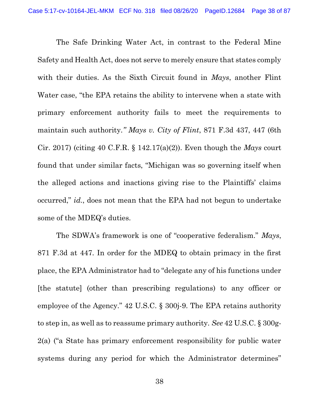The Safe Drinking Water Act, in contrast to the Federal Mine Safety and Health Act, does not serve to merely ensure that states comply with their duties. As the Sixth Circuit found in *Mays*, another Flint Water case, "the EPA retains the ability to intervene when a state with primary enforcement authority fails to meet the requirements to maintain such authority." Mays v. City of Flint, 871 F.3d 437, 447 (6th Cir. 2017) (citing 40 C.F.R. § 142.17(a)(2)). Even though the Mays court found that under similar facts, "Michigan was so governing itself when the alleged actions and inactions giving rise to the Plaintiffs' claims occurred," id., does not mean that the EPA had not begun to undertake some of the MDEQ's duties.

The SDWA's framework is one of "cooperative federalism." Mays, 871 F.3d at 447. In order for the MDEQ to obtain primacy in the first place, the EPA Administrator had to "delegate any of his functions under [the statute] (other than prescribing regulations) to any officer or employee of the Agency." 42 U.S.C. § 300j-9. The EPA retains authority to step in, as well as to reassume primary authority. See 42 U.S.C. § 300g-2(a) ("a State has primary enforcement responsibility for public water systems during any period for which the Administrator determines"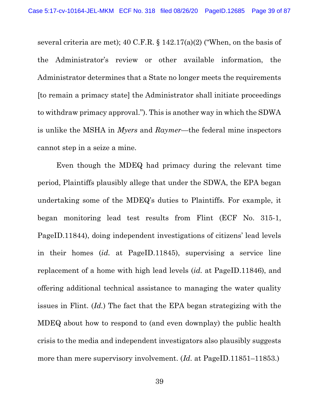several criteria are met);  $40 \text{ C.F.R.}$  §  $142.17(a)(2)$  ("When, on the basis of the Administrator's review or other available information, the Administrator determines that a State no longer meets the requirements [to remain a primacy state] the Administrator shall initiate proceedings to withdraw primacy approval."). This is another way in which the SDWA is unlike the MSHA in Myers and Raymer—the federal mine inspectors cannot step in a seize a mine.

Even though the MDEQ had primacy during the relevant time period, Plaintiffs plausibly allege that under the SDWA, the EPA began undertaking some of the MDEQ's duties to Plaintiffs. For example, it began monitoring lead test results from Flint (ECF No. 315-1, PageID.11844), doing independent investigations of citizens' lead levels in their homes (id. at PageID.11845), supervising a service line replacement of a home with high lead levels (id. at PageID.11846), and offering additional technical assistance to managing the water quality issues in Flint. (Id.) The fact that the EPA began strategizing with the MDEQ about how to respond to (and even downplay) the public health crisis to the media and independent investigators also plausibly suggests more than mere supervisory involvement. (*Id.* at PageID.11851–11853.)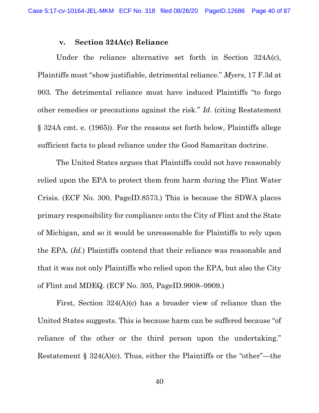#### v. Section 324A(c) Reliance

Under the reliance alternative set forth in Section 324A(c), Plaintiffs must "show justifiable, detrimental reliance." Myers, 17 F.3d at 903. The detrimental reliance must have induced Plaintiffs "to forgo other remedies or precautions against the risk." Id. (citing Restatement § 324A cmt. e. (1965)). For the reasons set forth below, Plaintiffs allege sufficient facts to plead reliance under the Good Samaritan doctrine.

The United States argues that Plaintiffs could not have reasonably relied upon the EPA to protect them from harm during the Flint Water Crisis. (ECF No. 300, PageID.8573.) This is because the SDWA places primary responsibility for compliance onto the City of Flint and the State of Michigan, and so it would be unreasonable for Plaintiffs to rely upon the EPA. (Id.) Plaintiffs contend that their reliance was reasonable and that it was not only Plaintiffs who relied upon the EPA, but also the City of Flint and MDEQ. (ECF No. 305, PageID.9908–9909.)

First, Section 324(A)(c) has a broader view of reliance than the United States suggests. This is because harm can be suffered because "of reliance of the other or the third person upon the undertaking." Restatement  $\S 324(A)(c)$ . Thus, either the Plaintiffs or the "other"—the

40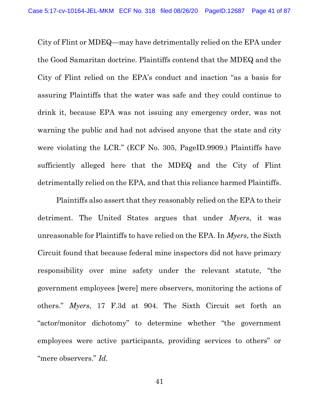City of Flint or MDEQ—may have detrimentally relied on the EPA under the Good Samaritan doctrine. Plaintiffs contend that the MDEQ and the City of Flint relied on the EPA's conduct and inaction "as a basis for assuring Plaintiffs that the water was safe and they could continue to drink it, because EPA was not issuing any emergency order, was not warning the public and had not advised anyone that the state and city were violating the LCR." (ECF No. 305, PageID.9909.) Plaintiffs have sufficiently alleged here that the MDEQ and the City of Flint detrimentally relied on the EPA, and that this reliance harmed Plaintiffs.

Plaintiffs also assert that they reasonably relied on the EPA to their detriment. The United States argues that under *Myers*, it was unreasonable for Plaintiffs to have relied on the EPA. In Myers, the Sixth Circuit found that because federal mine inspectors did not have primary responsibility over mine safety under the relevant statute, "the government employees [were] mere observers, monitoring the actions of others." Myers, 17 F.3d at 904. The Sixth Circuit set forth an "actor/monitor dichotomy" to determine whether "the government employees were active participants, providing services to others" or "mere observers." Id.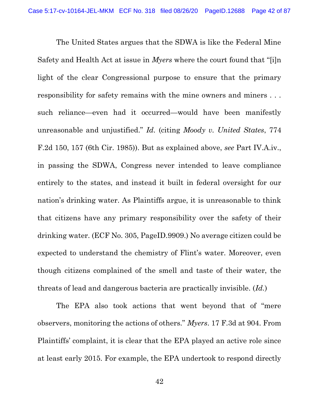The United States argues that the SDWA is like the Federal Mine Safety and Health Act at issue in Myers where the court found that "[i]n light of the clear Congressional purpose to ensure that the primary responsibility for safety remains with the mine owners and miners . . . such reliance—even had it occurred—would have been manifestly unreasonable and unjustified." Id. (citing Moody v. United States, 774 F.2d 150, 157 (6th Cir. 1985)). But as explained above, see Part IV.A.iv., in passing the SDWA, Congress never intended to leave compliance entirely to the states, and instead it built in federal oversight for our nation's drinking water. As Plaintiffs argue, it is unreasonable to think that citizens have any primary responsibility over the safety of their drinking water. (ECF No. 305, PageID.9909.) No average citizen could be expected to understand the chemistry of Flint's water. Moreover, even though citizens complained of the smell and taste of their water, the threats of lead and dangerous bacteria are practically invisible. (Id.)

The EPA also took actions that went beyond that of "mere observers, monitoring the actions of others." Myers. 17 F.3d at 904. From Plaintiffs' complaint, it is clear that the EPA played an active role since at least early 2015. For example, the EPA undertook to respond directly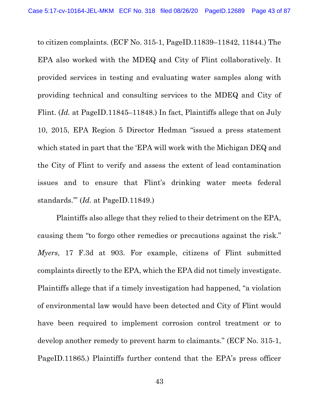to citizen complaints. (ECF No. 315-1, PageID.11839–11842, 11844.) The EPA also worked with the MDEQ and City of Flint collaboratively. It provided services in testing and evaluating water samples along with providing technical and consulting services to the MDEQ and City of Flint. (Id. at PageID.11845–11848.) In fact, Plaintiffs allege that on July 10, 2015, EPA Region 5 Director Hedman "issued a press statement which stated in part that the 'EPA will work with the Michigan DEQ and the City of Flint to verify and assess the extent of lead contamination issues and to ensure that Flint's drinking water meets federal standards.'" (Id. at PageID.11849.)

Plaintiffs also allege that they relied to their detriment on the EPA, causing them "to forgo other remedies or precautions against the risk." Myers, 17 F.3d at 903. For example, citizens of Flint submitted complaints directly to the EPA, which the EPA did not timely investigate. Plaintiffs allege that if a timely investigation had happened, "a violation of environmental law would have been detected and City of Flint would have been required to implement corrosion control treatment or to develop another remedy to prevent harm to claimants." (ECF No. 315-1, PageID.11865.) Plaintiffs further contend that the EPA's press officer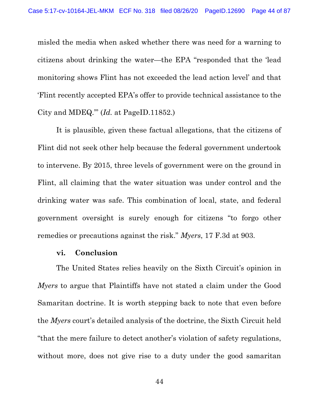misled the media when asked whether there was need for a warning to citizens about drinking the water—the EPA "responded that the 'lead monitoring shows Flint has not exceeded the lead action level' and that 'Flint recently accepted EPA's offer to provide technical assistance to the City and MDEQ.'" (Id. at PageID.11852.)

It is plausible, given these factual allegations, that the citizens of Flint did not seek other help because the federal government undertook to intervene. By 2015, three levels of government were on the ground in Flint, all claiming that the water situation was under control and the drinking water was safe. This combination of local, state, and federal government oversight is surely enough for citizens "to forgo other remedies or precautions against the risk." Myers, 17 F.3d at 903.

### vi. Conclusion

The United States relies heavily on the Sixth Circuit's opinion in Myers to argue that Plaintiffs have not stated a claim under the Good Samaritan doctrine. It is worth stepping back to note that even before the Myers court's detailed analysis of the doctrine, the Sixth Circuit held "that the mere failure to detect another's violation of safety regulations, without more, does not give rise to a duty under the good samaritan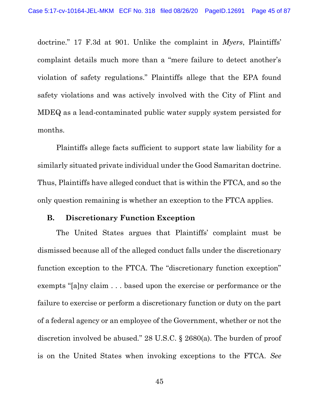doctrine." 17 F.3d at 901. Unlike the complaint in *Myers*, Plaintiffs' complaint details much more than a "mere failure to detect another's violation of safety regulations." Plaintiffs allege that the EPA found safety violations and was actively involved with the City of Flint and MDEQ as a lead-contaminated public water supply system persisted for months.

Plaintiffs allege facts sufficient to support state law liability for a similarly situated private individual under the Good Samaritan doctrine. Thus, Plaintiffs have alleged conduct that is within the FTCA, and so the only question remaining is whether an exception to the FTCA applies.

#### B. Discretionary Function Exception

The United States argues that Plaintiffs' complaint must be dismissed because all of the alleged conduct falls under the discretionary function exception to the FTCA. The "discretionary function exception" exempts "[a]ny claim . . . based upon the exercise or performance or the failure to exercise or perform a discretionary function or duty on the part of a federal agency or an employee of the Government, whether or not the discretion involved be abused." 28 U.S.C. § 2680(a). The burden of proof is on the United States when invoking exceptions to the FTCA. See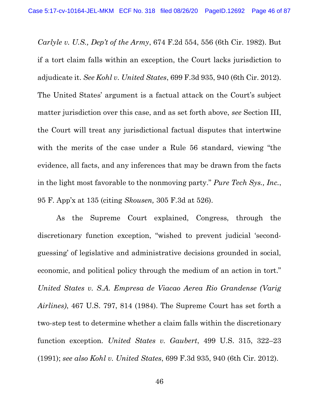Carlyle v. U.S., Dep't of the Army, 674 F.2d 554, 556 (6th Cir. 1982). But if a tort claim falls within an exception, the Court lacks jurisdiction to adjudicate it. See Kohl v. United States, 699 F.3d 935, 940 (6th Cir. 2012). The United States' argument is a factual attack on the Court's subject matter jurisdiction over this case, and as set forth above, see Section III, the Court will treat any jurisdictional factual disputes that intertwine with the merits of the case under a Rule 56 standard, viewing "the evidence, all facts, and any inferences that may be drawn from the facts in the light most favorable to the nonmoving party." Pure Tech Sys., Inc., 95 F. App'x at 135 (citing Skousen, 305 F.3d at 526).

As the Supreme Court explained, Congress, through the discretionary function exception, "wished to prevent judicial 'secondguessing' of legislative and administrative decisions grounded in social, economic, and political policy through the medium of an action in tort." United States v. S.A. Empresa de Viacao Aerea Rio Grandense (Varig Airlines), 467 U.S. 797, 814 (1984). The Supreme Court has set forth a two-step test to determine whether a claim falls within the discretionary function exception. United States v. Gaubert, 499 U.S. 315, 322–23 (1991); see also Kohl v. United States, 699 F.3d 935, 940 (6th Cir. 2012).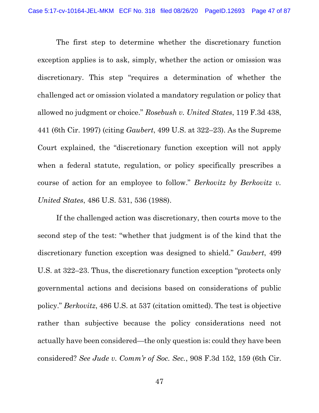The first step to determine whether the discretionary function exception applies is to ask, simply, whether the action or omission was discretionary. This step "requires a determination of whether the challenged act or omission violated a mandatory regulation or policy that allowed no judgment or choice." Rosebush v. United States, 119 F.3d 438, 441 (6th Cir. 1997) (citing Gaubert, 499 U.S. at 322–23). As the Supreme Court explained, the "discretionary function exception will not apply when a federal statute, regulation, or policy specifically prescribes a course of action for an employee to follow." Berkovitz by Berkovitz v. United States, 486 U.S. 531, 536 (1988).

If the challenged action was discretionary, then courts move to the second step of the test: "whether that judgment is of the kind that the discretionary function exception was designed to shield." Gaubert, 499 U.S. at 322–23. Thus, the discretionary function exception "protects only governmental actions and decisions based on considerations of public policy." Berkovitz, 486 U.S. at 537 (citation omitted). The test is objective rather than subjective because the policy considerations need not actually have been considered—the only question is: could they have been considered? See Jude v. Comm'r of Soc. Sec., 908 F.3d 152, 159 (6th Cir.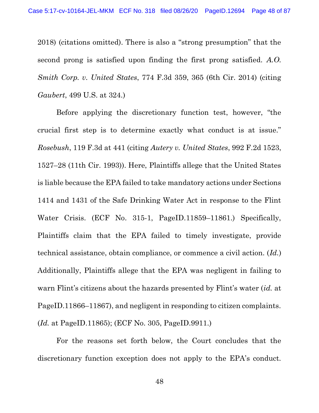2018) (citations omitted). There is also a "strong presumption" that the second prong is satisfied upon finding the first prong satisfied. A.O. Smith Corp. v. United States, 774 F.3d 359, 365 (6th Cir. 2014) (citing Gaubert, 499 U.S. at 324.)

Before applying the discretionary function test, however, "the crucial first step is to determine exactly what conduct is at issue." Rosebush, 119 F.3d at 441 (citing Autery v. United States, 992 F.2d 1523, 1527–28 (11th Cir. 1993)). Here, Plaintiffs allege that the United States is liable because the EPA failed to take mandatory actions under Sections 1414 and 1431 of the Safe Drinking Water Act in response to the Flint Water Crisis. (ECF No. 315-1, PageID.11859–11861.) Specifically, Plaintiffs claim that the EPA failed to timely investigate, provide technical assistance, obtain compliance, or commence a civil action. (Id.) Additionally, Plaintiffs allege that the EPA was negligent in failing to warn Flint's citizens about the hazards presented by Flint's water *(id.* at PageID.11866–11867), and negligent in responding to citizen complaints. (Id. at PageID.11865); (ECF No. 305, PageID.9911.)

For the reasons set forth below, the Court concludes that the discretionary function exception does not apply to the EPA's conduct.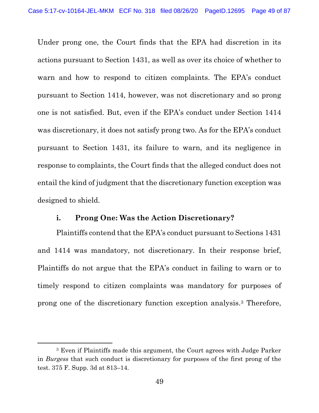Under prong one, the Court finds that the EPA had discretion in its actions pursuant to Section 1431, as well as over its choice of whether to warn and how to respond to citizen complaints. The EPA's conduct pursuant to Section 1414, however, was not discretionary and so prong one is not satisfied. But, even if the EPA's conduct under Section 1414 was discretionary, it does not satisfy prong two. As for the EPA's conduct pursuant to Section 1431, its failure to warn, and its negligence in response to complaints, the Court finds that the alleged conduct does not entail the kind of judgment that the discretionary function exception was designed to shield.

## i. Prong One: Was the Action Discretionary?

Plaintiffs contend that the EPA's conduct pursuant to Sections 1431 and 1414 was mandatory, not discretionary. In their response brief, Plaintiffs do not argue that the EPA's conduct in failing to warn or to timely respond to citizen complaints was mandatory for purposes of prong one of the discretionary function exception analysis.3 Therefore,

<sup>3</sup> Even if Plaintiffs made this argument, the Court agrees with Judge Parker in Burgess that such conduct is discretionary for purposes of the first prong of the test. 375 F. Supp. 3d at 813–14.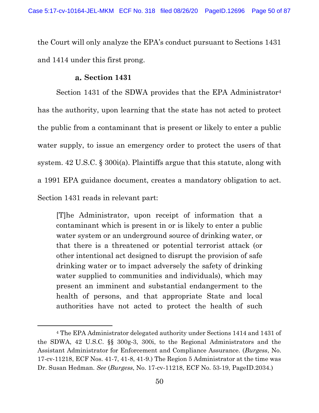the Court will only analyze the EPA's conduct pursuant to Sections 1431 and 1414 under this first prong.

## Section 1431

Section 1431 of the SDWA provides that the EPA Administrator<sup>4</sup> has the authority, upon learning that the state has not acted to protect the public from a contaminant that is present or likely to enter a public water supply, to issue an emergency order to protect the users of that system. 42 U.S.C. § 300i(a). Plaintiffs argue that this statute, along with a 1991 EPA guidance document, creates a mandatory obligation to act. Section 1431 reads in relevant part:

[T]he Administrator, upon receipt of information that a contaminant which is present in or is likely to enter a public water system or an underground source of drinking water, or that there is a threatened or potential terrorist attack (or other intentional act designed to disrupt the provision of safe drinking water or to impact adversely the safety of drinking water supplied to communities and individuals), which may present an imminent and substantial endangerment to the health of persons, and that appropriate State and local authorities have not acted to protect the health of such

<sup>4</sup> The EPA Administrator delegated authority under Sections 1414 and 1431 of the SDWA, 42 U.S.C. §§ 300g-3, 300i, to the Regional Administrators and the Assistant Administrator for Enforcement and Compliance Assurance. (Burgess, No. 17-cv-11218, ECF Nos. 41-7, 41-8, 41-9.) The Region 5 Administrator at the time was Dr. Susan Hedman. See (Burgess, No. 17-cv-11218, ECF No. 53-19, PageID.2034.)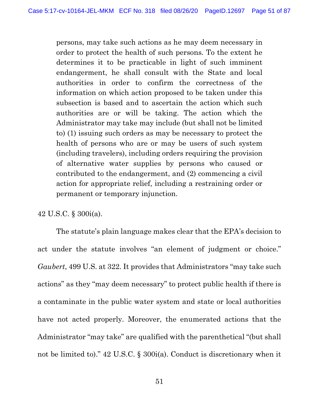persons, may take such actions as he may deem necessary in order to protect the health of such persons. To the extent he determines it to be practicable in light of such imminent endangerment, he shall consult with the State and local authorities in order to confirm the correctness of the information on which action proposed to be taken under this subsection is based and to ascertain the action which such authorities are or will be taking. The action which the Administrator may take may include (but shall not be limited to) (1) issuing such orders as may be necessary to protect the health of persons who are or may be users of such system (including travelers), including orders requiring the provision of alternative water supplies by persons who caused or contributed to the endangerment, and (2) commencing a civil action for appropriate relief, including a restraining order or permanent or temporary injunction.

42 U.S.C. § 300i(a).

The statute's plain language makes clear that the EPA's decision to act under the statute involves "an element of judgment or choice." Gaubert, 499 U.S. at 322. It provides that Administrators "may take such actions" as they "may deem necessary" to protect public health if there is a contaminate in the public water system and state or local authorities have not acted properly. Moreover, the enumerated actions that the Administrator "may take" are qualified with the parenthetical "(but shall not be limited to)." 42 U.S.C. § 300i(a). Conduct is discretionary when it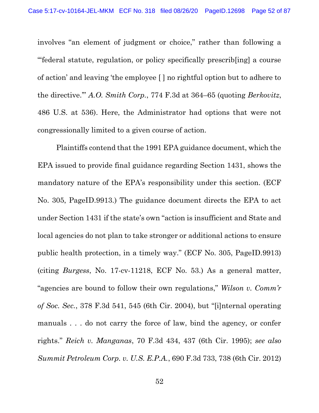involves "an element of judgment or choice," rather than following a "'federal statute, regulation, or policy specifically prescrib[ing] a course of action' and leaving 'the employee [ ] no rightful option but to adhere to the directive.'" A.O. Smith Corp., 774 F.3d at 364–65 (quoting Berkovitz, 486 U.S. at 536). Here, the Administrator had options that were not congressionally limited to a given course of action.

Plaintiffs contend that the 1991 EPA guidance document, which the EPA issued to provide final guidance regarding Section 1431, shows the mandatory nature of the EPA's responsibility under this section. (ECF No. 305, PageID.9913.) The guidance document directs the EPA to act under Section 1431 if the state's own "action is insufficient and State and local agencies do not plan to take stronger or additional actions to ensure public health protection, in a timely way." (ECF No. 305, PageID.9913) (citing Burgess, No. 17-cv-11218, ECF No. 53.) As a general matter, "agencies are bound to follow their own regulations," Wilson v. Comm'r of Soc. Sec., 378 F.3d 541, 545 (6th Cir. 2004), but "[i]nternal operating manuals . . . do not carry the force of law, bind the agency, or confer rights." Reich v. Manganas, 70 F.3d 434, 437 (6th Cir. 1995); see also Summit Petroleum Corp. v. U.S. E.P.A., 690 F.3d 733, 738 (6th Cir. 2012)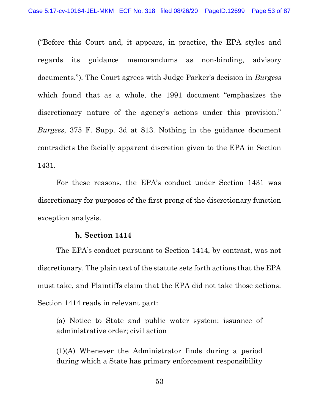("Before this Court and, it appears, in practice, the EPA styles and regards its guidance memorandums as non-binding, advisory documents."). The Court agrees with Judge Parker's decision in Burgess which found that as a whole, the 1991 document "emphasizes the discretionary nature of the agency's actions under this provision." Burgess, 375 F. Supp. 3d at 813. Nothing in the guidance document contradicts the facially apparent discretion given to the EPA in Section 1431.

For these reasons, the EPA's conduct under Section 1431 was discretionary for purposes of the first prong of the discretionary function exception analysis.

#### b. Section 1414

The EPA's conduct pursuant to Section 1414, by contrast, was not discretionary. The plain text of the statute sets forth actions that the EPA must take, and Plaintiffs claim that the EPA did not take those actions. Section 1414 reads in relevant part:

(a) Notice to State and public water system; issuance of administrative order; civil action

(1)(A) Whenever the Administrator finds during a period during which a State has primary enforcement responsibility

53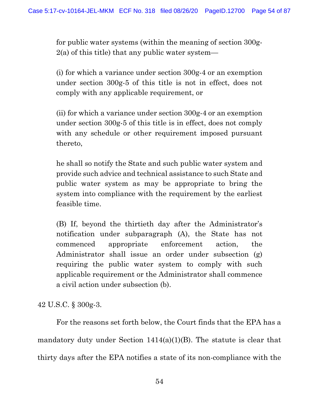for public water systems (within the meaning of section 300g- $2(a)$  of this title) that any public water system—

(i) for which a variance under section 300g-4 or an exemption under section 300g-5 of this title is not in effect, does not comply with any applicable requirement, or

(ii) for which a variance under section 300g-4 or an exemption under section 300g-5 of this title is in effect, does not comply with any schedule or other requirement imposed pursuant thereto,

he shall so notify the State and such public water system and provide such advice and technical assistance to such State and public water system as may be appropriate to bring the system into compliance with the requirement by the earliest feasible time.

(B) If, beyond the thirtieth day after the Administrator's notification under subparagraph (A), the State has not commenced appropriate enforcement action, the Administrator shall issue an order under subsection (g) requiring the public water system to comply with such applicable requirement or the Administrator shall commence a civil action under subsection (b).

42 U.S.C. § 300g-3.

For the reasons set forth below, the Court finds that the EPA has a mandatory duty under Section 1414(a)(1)(B). The statute is clear that thirty days after the EPA notifies a state of its non-compliance with the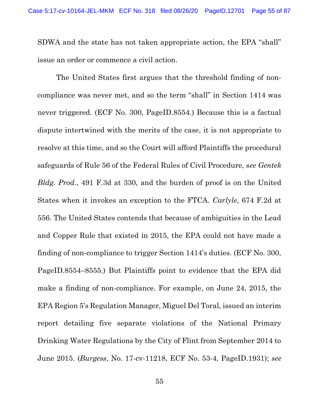SDWA and the state has not taken appropriate action, the EPA "shall" issue an order or commence a civil action.

The United States first argues that the threshold finding of noncompliance was never met, and so the term "shall" in Section 1414 was never triggered. (ECF No. 300, PageID.8554.) Because this is a factual dispute intertwined with the merits of the case, it is not appropriate to resolve at this time, and so the Court will afford Plaintiffs the procedural safeguards of Rule 56 of the Federal Rules of Civil Procedure, see Gentek Bldg. Prod., 491 F.3d at 330, and the burden of proof is on the United States when it invokes an exception to the FTCA. Carlyle, 674 F.2d at 556. The United States contends that because of ambiguities in the Lead and Copper Rule that existed in 2015, the EPA could not have made a finding of non-compliance to trigger Section 1414's duties. (ECF No. 300, PageID.8554–8555.) But Plaintiffs point to evidence that the EPA did make a finding of non-compliance. For example, on June 24, 2015, the EPA Region 5's Regulation Manager, Miguel Del Toral, issued an interim report detailing five separate violations of the National Primary Drinking Water Regulations by the City of Flint from September 2014 to June 2015. (Burgess, No. 17-cv-11218, ECF No. 53-4, PageID.1931); see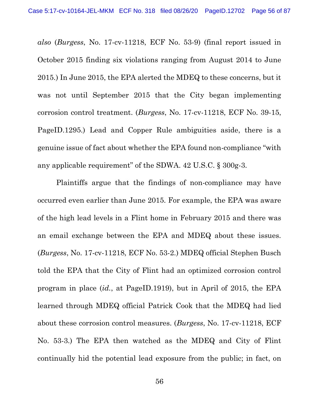also (Burgess, No. 17-cv-11218, ECF No. 53-9) (final report issued in October 2015 finding six violations ranging from August 2014 to June 2015.) In June 2015, the EPA alerted the MDEQ to these concerns, but it was not until September 2015 that the City began implementing corrosion control treatment. (Burgess, No. 17-cv-11218, ECF No. 39-15, PageID.1295.) Lead and Copper Rule ambiguities aside, there is a genuine issue of fact about whether the EPA found non-compliance "with any applicable requirement" of the SDWA. 42 U.S.C. § 300g-3.

Plaintiffs argue that the findings of non-compliance may have occurred even earlier than June 2015. For example, the EPA was aware of the high lead levels in a Flint home in February 2015 and there was an email exchange between the EPA and MDEQ about these issues. (Burgess, No. 17-cv-11218, ECF No. 53-2.) MDEQ official Stephen Busch told the EPA that the City of Flint had an optimized corrosion control program in place (id., at PageID.1919), but in April of 2015, the EPA learned through MDEQ official Patrick Cook that the MDEQ had lied about these corrosion control measures. (Burgess, No. 17-cv-11218, ECF No. 53-3.) The EPA then watched as the MDEQ and City of Flint continually hid the potential lead exposure from the public; in fact, on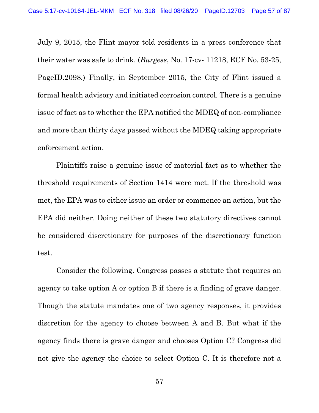July 9, 2015, the Flint mayor told residents in a press conference that their water was safe to drink. (Burgess, No. 17-cv- 11218, ECF No. 53-25, PageID.2098.) Finally, in September 2015, the City of Flint issued a formal health advisory and initiated corrosion control. There is a genuine issue of fact as to whether the EPA notified the MDEQ of non-compliance and more than thirty days passed without the MDEQ taking appropriate enforcement action.

Plaintiffs raise a genuine issue of material fact as to whether the threshold requirements of Section 1414 were met. If the threshold was met, the EPA was to either issue an order or commence an action, but the EPA did neither. Doing neither of these two statutory directives cannot be considered discretionary for purposes of the discretionary function test.

Consider the following. Congress passes a statute that requires an agency to take option A or option B if there is a finding of grave danger. Though the statute mandates one of two agency responses, it provides discretion for the agency to choose between A and B. But what if the agency finds there is grave danger and chooses Option C? Congress did not give the agency the choice to select Option C. It is therefore not a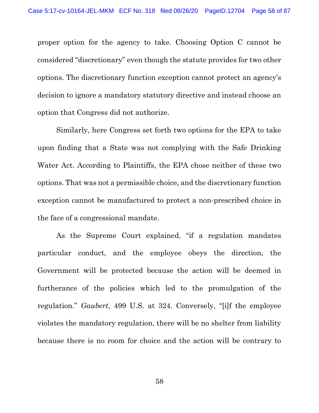proper option for the agency to take. Choosing Option C cannot be considered "discretionary" even though the statute provides for two other options. The discretionary function exception cannot protect an agency's decision to ignore a mandatory statutory directive and instead choose an option that Congress did not authorize.

Similarly, here Congress set forth two options for the EPA to take upon finding that a State was not complying with the Safe Drinking Water Act. According to Plaintiffs, the EPA chose neither of these two options. That was not a permissible choice, and the discretionary function exception cannot be manufactured to protect a non-prescribed choice in the face of a congressional mandate.

As the Supreme Court explained, "if a regulation mandates particular conduct, and the employee obeys the direction, the Government will be protected because the action will be deemed in furtherance of the policies which led to the promulgation of the regulation." Gaubert, 499 U.S. at 324. Conversely, "[i]f the employee violates the mandatory regulation, there will be no shelter from liability because there is no room for choice and the action will be contrary to

58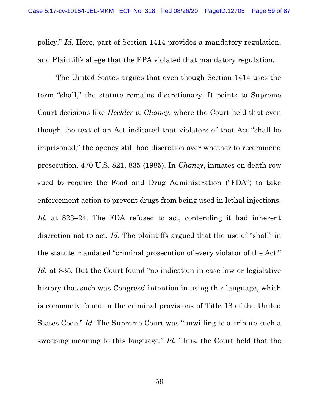policy." Id. Here, part of Section 1414 provides a mandatory regulation, and Plaintiffs allege that the EPA violated that mandatory regulation.

The United States argues that even though Section 1414 uses the term "shall," the statute remains discretionary. It points to Supreme Court decisions like Heckler v. Chaney, where the Court held that even though the text of an Act indicated that violators of that Act "shall be imprisoned," the agency still had discretion over whether to recommend prosecution. 470 U.S. 821, 835 (1985). In Chaney, inmates on death row sued to require the Food and Drug Administration ("FDA") to take enforcement action to prevent drugs from being used in lethal injections. Id. at 823–24. The FDA refused to act, contending it had inherent discretion not to act. Id. The plaintiffs argued that the use of "shall" in the statute mandated "criminal prosecution of every violator of the Act." Id. at 835. But the Court found "no indication in case law or legislative history that such was Congress' intention in using this language, which is commonly found in the criminal provisions of Title 18 of the United States Code." Id. The Supreme Court was "unwilling to attribute such a sweeping meaning to this language." Id. Thus, the Court held that the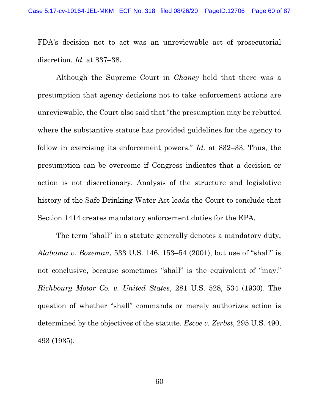FDA's decision not to act was an unreviewable act of prosecutorial discretion. *Id.* at 837–38.

Although the Supreme Court in Chaney held that there was a presumption that agency decisions not to take enforcement actions are unreviewable, the Court also said that "the presumption may be rebutted where the substantive statute has provided guidelines for the agency to follow in exercising its enforcement powers." Id. at 832–33. Thus, the presumption can be overcome if Congress indicates that a decision or action is not discretionary. Analysis of the structure and legislative history of the Safe Drinking Water Act leads the Court to conclude that Section 1414 creates mandatory enforcement duties for the EPA.

The term "shall" in a statute generally denotes a mandatory duty, Alabama v. Bozeman, 533 U.S. 146, 153–54 (2001), but use of "shall" is not conclusive, because sometimes "shall" is the equivalent of "may." Richbourg Motor Co. v. United States, 281 U.S. 528, 534 (1930). The question of whether "shall" commands or merely authorizes action is determined by the objectives of the statute. *Escoe v. Zerbst*, 295 U.S. 490, 493 (1935).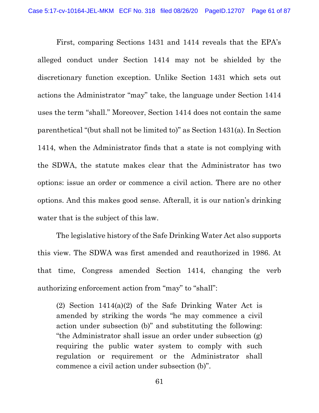First, comparing Sections 1431 and 1414 reveals that the EPA's alleged conduct under Section 1414 may not be shielded by the discretionary function exception. Unlike Section 1431 which sets out actions the Administrator "may" take, the language under Section 1414 uses the term "shall." Moreover, Section 1414 does not contain the same parenthetical "(but shall not be limited to)" as Section 1431(a). In Section 1414, when the Administrator finds that a state is not complying with the SDWA, the statute makes clear that the Administrator has two options: issue an order or commence a civil action. There are no other options. And this makes good sense. Afterall, it is our nation's drinking water that is the subject of this law.

The legislative history of the Safe Drinking Water Act also supports this view. The SDWA was first amended and reauthorized in 1986. At that time, Congress amended Section 1414, changing the verb authorizing enforcement action from "may" to "shall":

(2) Section 1414(a)(2) of the Safe Drinking Water Act is amended by striking the words "he may commence a civil action under subsection (b)" and substituting the following: "the Administrator shall issue an order under subsection (g) requiring the public water system to comply with such regulation or requirement or the Administrator shall commence a civil action under subsection (b)".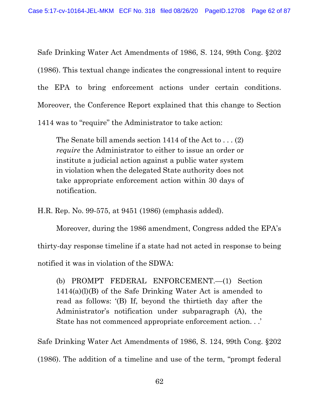Safe Drinking Water Act Amendments of 1986, S. 124, 99th Cong. §202 (1986). This textual change indicates the congressional intent to require the EPA to bring enforcement actions under certain conditions. Moreover, the Conference Report explained that this change to Section 1414 was to "require" the Administrator to take action:

The Senate bill amends section 1414 of the Act to . . . (2) require the Administrator to either to issue an order or institute a judicial action against a public water system in violation when the delegated State authority does not take appropriate enforcement action within 30 days of notification.

H.R. Rep. No. 99-575, at 9451 (1986) (emphasis added).

Moreover, during the 1986 amendment, Congress added the EPA's thirty-day response timeline if a state had not acted in response to being notified it was in violation of the SDWA:

(b) PROMPT FEDERAL ENFORCEMENT.—(1) Section 1414(a)(l)(B) of the Safe Drinking Water Act is amended to read as follows: '(B) If, beyond the thirtieth day after the Administrator's notification under subparagraph (A), the State has not commenced appropriate enforcement action. . .'

Safe Drinking Water Act Amendments of 1986, S. 124, 99th Cong. §202 (1986). The addition of a timeline and use of the term, "prompt federal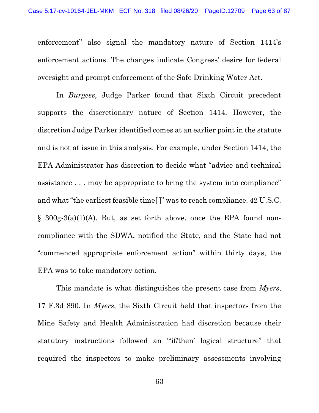enforcement" also signal the mandatory nature of Section 1414's enforcement actions. The changes indicate Congress' desire for federal oversight and prompt enforcement of the Safe Drinking Water Act.

In Burgess, Judge Parker found that Sixth Circuit precedent supports the discretionary nature of Section 1414. However, the discretion Judge Parker identified comes at an earlier point in the statute and is not at issue in this analysis. For example, under Section 1414, the EPA Administrator has discretion to decide what "advice and technical assistance . . . may be appropriate to bring the system into compliance" and what "the earliest feasible time[ ]" was to reach compliance. 42 U.S.C.  $\S$  300g-3(a)(1)(A). But, as set forth above, once the EPA found noncompliance with the SDWA, notified the State, and the State had not "commenced appropriate enforcement action" within thirty days, the EPA was to take mandatory action.

This mandate is what distinguishes the present case from *Myers*, 17 F.3d 890. In Myers, the Sixth Circuit held that inspectors from the Mine Safety and Health Administration had discretion because their statutory instructions followed an "'if/then' logical structure" that required the inspectors to make preliminary assessments involving

63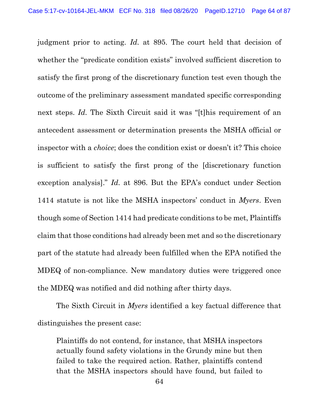judgment prior to acting. Id. at 895. The court held that decision of whether the "predicate condition exists" involved sufficient discretion to satisfy the first prong of the discretionary function test even though the outcome of the preliminary assessment mandated specific corresponding next steps. Id. The Sixth Circuit said it was "[t]his requirement of an antecedent assessment or determination presents the MSHA official or inspector with a choice; does the condition exist or doesn't it? This choice is sufficient to satisfy the first prong of the [discretionary function exception analysis]." Id. at 896. But the EPA's conduct under Section 1414 statute is not like the MSHA inspectors' conduct in *Myers*. Even though some of Section 1414 had predicate conditions to be met, Plaintiffs claim that those conditions had already been met and so the discretionary part of the statute had already been fulfilled when the EPA notified the MDEQ of non-compliance. New mandatory duties were triggered once the MDEQ was notified and did nothing after thirty days.

The Sixth Circuit in Myers identified a key factual difference that distinguishes the present case:

Plaintiffs do not contend, for instance, that MSHA inspectors actually found safety violations in the Grundy mine but then failed to take the required action. Rather, plaintiffs contend that the MSHA inspectors should have found, but failed to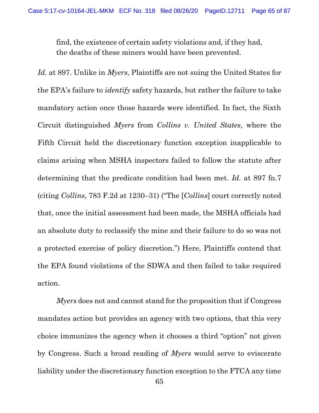find, the existence of certain safety violations and, if they had, the deaths of these miners would have been prevented.

Id. at 897. Unlike in Myers, Plaintiffs are not suing the United States for the EPA's failure to identify safety hazards, but rather the failure to take mandatory action once those hazards were identified. In fact, the Sixth Circuit distinguished Myers from Collins v. United States, where the Fifth Circuit held the discretionary function exception inapplicable to claims arising when MSHA inspectors failed to follow the statute after determining that the predicate condition had been met. Id. at 897 fn.7 (citing Collins, 783 F.2d at 1230–31) ("The [Collins] court correctly noted that, once the initial assessment had been made, the MSHA officials had an absolute duty to reclassify the mine and their failure to do so was not a protected exercise of policy discretion.") Here, Plaintiffs contend that the EPA found violations of the SDWA and then failed to take required action.

Myers does not and cannot stand for the proposition that if Congress mandates action but provides an agency with two options, that this very choice immunizes the agency when it chooses a third "option" not given by Congress. Such a broad reading of Myers would serve to eviscerate liability under the discretionary function exception to the FTCA any time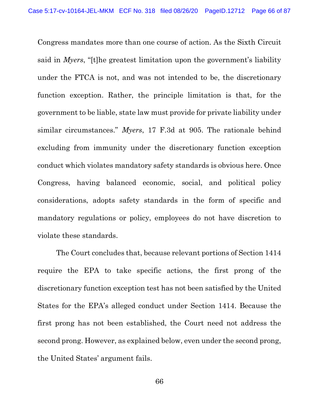Congress mandates more than one course of action. As the Sixth Circuit said in Myers, "[t]he greatest limitation upon the government's liability under the FTCA is not, and was not intended to be, the discretionary function exception. Rather, the principle limitation is that, for the government to be liable, state law must provide for private liability under similar circumstances." Myers, 17 F.3d at 905. The rationale behind excluding from immunity under the discretionary function exception conduct which violates mandatory safety standards is obvious here. Once Congress, having balanced economic, social, and political policy considerations, adopts safety standards in the form of specific and mandatory regulations or policy, employees do not have discretion to violate these standards.

The Court concludes that, because relevant portions of Section 1414 require the EPA to take specific actions, the first prong of the discretionary function exception test has not been satisfied by the United States for the EPA's alleged conduct under Section 1414. Because the first prong has not been established, the Court need not address the second prong. However, as explained below, even under the second prong, the United States' argument fails.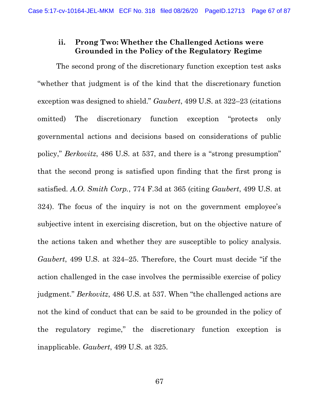# ii. Prong Two: Whether the Challenged Actions were Grounded in the Policy of the Regulatory Regime

The second prong of the discretionary function exception test asks "whether that judgment is of the kind that the discretionary function exception was designed to shield." Gaubert, 499 U.S. at 322–23 (citations omitted) The discretionary function exception "protects only governmental actions and decisions based on considerations of public policy," Berkovitz, 486 U.S. at 537, and there is a "strong presumption" that the second prong is satisfied upon finding that the first prong is satisfied. A.O. Smith Corp., 774 F.3d at 365 (citing Gaubert, 499 U.S. at 324). The focus of the inquiry is not on the government employee's subjective intent in exercising discretion, but on the objective nature of the actions taken and whether they are susceptible to policy analysis. Gaubert, 499 U.S. at 324–25. Therefore, the Court must decide "if the action challenged in the case involves the permissible exercise of policy judgment." Berkovitz, 486 U.S. at 537. When "the challenged actions are not the kind of conduct that can be said to be grounded in the policy of the regulatory regime," the discretionary function exception is inapplicable. Gaubert, 499 U.S. at 325.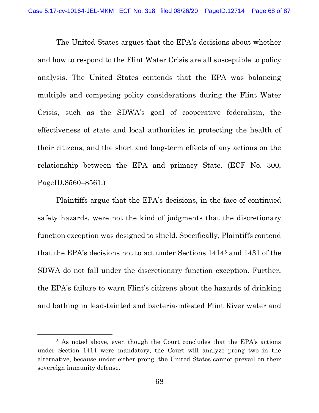The United States argues that the EPA's decisions about whether and how to respond to the Flint Water Crisis are all susceptible to policy analysis. The United States contends that the EPA was balancing multiple and competing policy considerations during the Flint Water Crisis, such as the SDWA's goal of cooperative federalism, the effectiveness of state and local authorities in protecting the health of their citizens, and the short and long-term effects of any actions on the relationship between the EPA and primacy State. (ECF No. 300, PageID.8560–8561.)

Plaintiffs argue that the EPA's decisions, in the face of continued safety hazards, were not the kind of judgments that the discretionary function exception was designed to shield. Specifically, Plaintiffs contend that the EPA's decisions not to act under Sections 14145 and 1431 of the SDWA do not fall under the discretionary function exception. Further, the EPA's failure to warn Flint's citizens about the hazards of drinking and bathing in lead-tainted and bacteria-infested Flint River water and

<sup>5</sup> As noted above, even though the Court concludes that the EPA's actions under Section 1414 were mandatory, the Court will analyze prong two in the alternative, because under either prong, the United States cannot prevail on their sovereign immunity defense.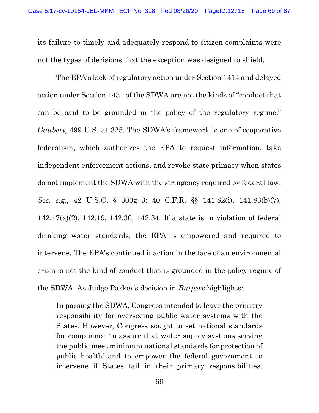its failure to timely and adequately respond to citizen complaints were not the types of decisions that the exception was designed to shield.

The EPA's lack of regulatory action under Section 1414 and delayed action under Section 1431 of the SDWA are not the kinds of "conduct that can be said to be grounded in the policy of the regulatory regime." Gaubert, 499 U.S. at 325. The SDWA's framework is one of cooperative federalism, which authorizes the EPA to request information, take independent enforcement actions, and revoke state primacy when states do not implement the SDWA with the stringency required by federal law. See, e.g., 42 U.S.C. § 300g–3; 40 C.F.R. §§ 141.82(i), 141.83(b)(7), 142.17(a)(2), 142.19, 142.30, 142.34. If a state is in violation of federal drinking water standards, the EPA is empowered and required to intervene. The EPA's continued inaction in the face of an environmental crisis is not the kind of conduct that is grounded in the policy regime of the SDWA. As Judge Parker's decision in Burgess highlights:

In passing the SDWA, Congress intended to leave the primary responsibility for overseeing public water systems with the States. However, Congress sought to set national standards for compliance 'to assure that water supply systems serving the public meet minimum national standards for protection of public health' and to empower the federal government to intervene if States fail in their primary responsibilities.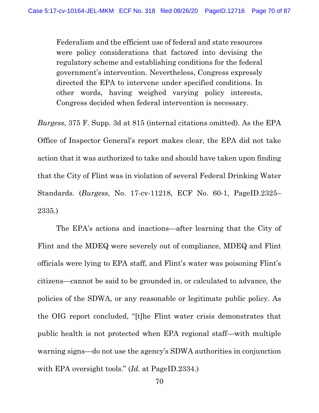Federalism and the efficient use of federal and state resources were policy considerations that factored into devising the regulatory scheme and establishing conditions for the federal government's intervention. Nevertheless, Congress expressly directed the EPA to intervene under specified conditions. In other words, having weighed varying policy interests, Congress decided when federal intervention is necessary.

Burgess, 375 F. Supp. 3d at 815 (internal citations omitted). As the EPA Office of Inspector General's report makes clear, the EPA did not take action that it was authorized to take and should have taken upon finding that the City of Flint was in violation of several Federal Drinking Water Standards. (Burgess, No. 17-cv-11218, ECF No. 60-1, PageID.2325– 2335.)

The EPA's actions and inactions—after learning that the City of Flint and the MDEQ were severely out of compliance, MDEQ and Flint officials were lying to EPA staff, and Flint's water was poisoning Flint's citizens—cannot be said to be grounded in, or calculated to advance, the policies of the SDWA, or any reasonable or legitimate public policy. As the OIG report concluded, "[t]he Flint water crisis demonstrates that public health is not protected when EPA regional staff—with multiple warning signs—do not use the agency's SDWA authorities in conjunction with EPA oversight tools." (*Id.* at PageID.2334.)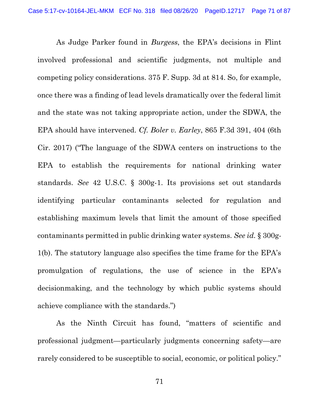As Judge Parker found in *Burgess*, the EPA's decisions in Flint involved professional and scientific judgments, not multiple and competing policy considerations. 375 F. Supp. 3d at 814. So, for example, once there was a finding of lead levels dramatically over the federal limit and the state was not taking appropriate action, under the SDWA, the EPA should have intervened. Cf. Boler v. Earley, 865 F.3d 391, 404 (6th Cir. 2017) ("The language of the SDWA centers on instructions to the EPA to establish the requirements for national drinking water standards. See 42 U.S.C. § 300g-1. Its provisions set out standards identifying particular contaminants selected for regulation and establishing maximum levels that limit the amount of those specified contaminants permitted in public drinking water systems. See id. § 300g-1(b). The statutory language also specifies the time frame for the EPA's promulgation of regulations, the use of science in the EPA's decisionmaking, and the technology by which public systems should achieve compliance with the standards.")

As the Ninth Circuit has found, "matters of scientific and professional judgment—particularly judgments concerning safety—are rarely considered to be susceptible to social, economic, or political policy."

71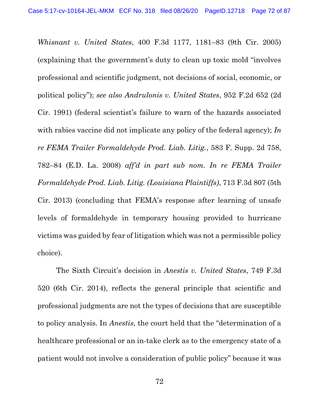Whisnant v. United States, 400 F.3d 1177, 1181–83 (9th Cir. 2005) (explaining that the government's duty to clean up toxic mold "involves professional and scientific judgment, not decisions of social, economic, or political policy"); see also Andrulonis v. United States, 952 F.2d 652 (2d Cir. 1991) (federal scientist's failure to warn of the hazards associated with rabies vaccine did not implicate any policy of the federal agency); In re FEMA Trailer Formaldehyde Prod. Liab. Litig., 583 F. Supp. 2d 758, 782–84 (E.D. La. 2008) aff'd in part sub nom. In re FEMA Trailer Formaldehyde Prod. Liab. Litig. (Louisiana Plaintiffs), 713 F.3d 807 (5th Cir. 2013) (concluding that FEMA's response after learning of unsafe levels of formaldehyde in temporary housing provided to hurricane victims was guided by fear of litigation which was not a permissible policy choice).

The Sixth Circuit's decision in Anestis v. United States, 749 F.3d 520 (6th Cir. 2014), reflects the general principle that scientific and professional judgments are not the types of decisions that are susceptible to policy analysis. In Anestis, the court held that the "determination of a healthcare professional or an in-take clerk as to the emergency state of a patient would not involve a consideration of public policy" because it was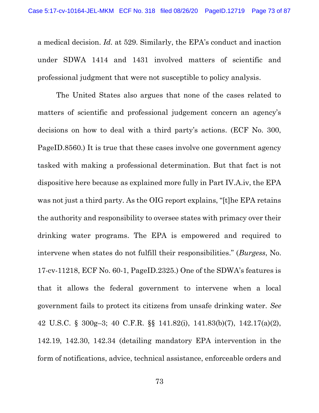a medical decision. Id. at 529. Similarly, the EPA's conduct and inaction under SDWA 1414 and 1431 involved matters of scientific and professional judgment that were not susceptible to policy analysis.

The United States also argues that none of the cases related to matters of scientific and professional judgement concern an agency's decisions on how to deal with a third party's actions. (ECF No. 300, PageID.8560.) It is true that these cases involve one government agency tasked with making a professional determination. But that fact is not dispositive here because as explained more fully in Part IV.A.iv, the EPA was not just a third party. As the OIG report explains, "[t]he EPA retains the authority and responsibility to oversee states with primacy over their drinking water programs. The EPA is empowered and required to intervene when states do not fulfill their responsibilities." (Burgess, No. 17-cv-11218, ECF No. 60-1, PageID.2325.) One of the SDWA's features is that it allows the federal government to intervene when a local government fails to protect its citizens from unsafe drinking water. See 42 U.S.C. § 300g–3; 40 C.F.R. §§ 141.82(i), 141.83(b)(7), 142.17(a)(2), 142.19, 142.30, 142.34 (detailing mandatory EPA intervention in the form of notifications, advice, technical assistance, enforceable orders and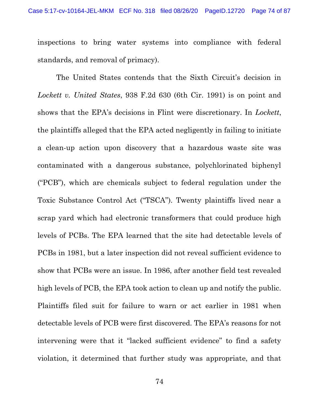inspections to bring water systems into compliance with federal standards, and removal of primacy).

The United States contends that the Sixth Circuit's decision in Lockett v. United States, 938 F.2d 630 (6th Cir. 1991) is on point and shows that the EPA's decisions in Flint were discretionary. In Lockett, the plaintiffs alleged that the EPA acted negligently in failing to initiate a clean-up action upon discovery that a hazardous waste site was contaminated with a dangerous substance, polychlorinated biphenyl ("PCB"), which are chemicals subject to federal regulation under the Toxic Substance Control Act ("TSCA"). Twenty plaintiffs lived near a scrap yard which had electronic transformers that could produce high levels of PCBs. The EPA learned that the site had detectable levels of PCBs in 1981, but a later inspection did not reveal sufficient evidence to show that PCBs were an issue. In 1986, after another field test revealed high levels of PCB, the EPA took action to clean up and notify the public. Plaintiffs filed suit for failure to warn or act earlier in 1981 when detectable levels of PCB were first discovered. The EPA's reasons for not intervening were that it "lacked sufficient evidence" to find a safety violation, it determined that further study was appropriate, and that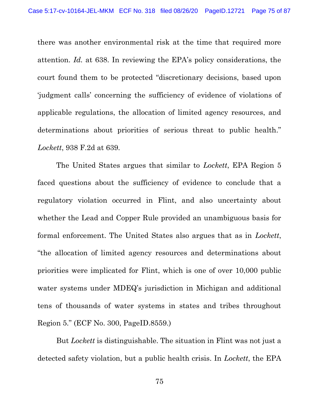there was another environmental risk at the time that required more attention. Id. at 638. In reviewing the EPA's policy considerations, the court found them to be protected "discretionary decisions, based upon 'judgment calls' concerning the sufficiency of evidence of violations of applicable regulations, the allocation of limited agency resources, and determinations about priorities of serious threat to public health." Lockett, 938 F.2d at 639.

The United States argues that similar to *Lockett*, EPA Region 5 faced questions about the sufficiency of evidence to conclude that a regulatory violation occurred in Flint, and also uncertainty about whether the Lead and Copper Rule provided an unambiguous basis for formal enforcement. The United States also argues that as in Lockett, "the allocation of limited agency resources and determinations about priorities were implicated for Flint, which is one of over 10,000 public water systems under MDEQ's jurisdiction in Michigan and additional tens of thousands of water systems in states and tribes throughout Region 5." (ECF No. 300, PageID.8559.)

But *Lockett* is distinguishable. The situation in Flint was not just a detected safety violation, but a public health crisis. In *Lockett*, the EPA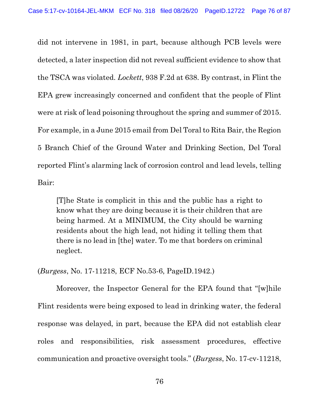did not intervene in 1981, in part, because although PCB levels were detected, a later inspection did not reveal sufficient evidence to show that the TSCA was violated. Lockett, 938 F.2d at 638. By contrast, in Flint the EPA grew increasingly concerned and confident that the people of Flint were at risk of lead poisoning throughout the spring and summer of 2015. For example, in a June 2015 email from Del Toral to Rita Bair, the Region 5 Branch Chief of the Ground Water and Drinking Section, Del Toral reported Flint's alarming lack of corrosion control and lead levels, telling Bair:

[T]he State is complicit in this and the public has a right to know what they are doing because it is their children that are being harmed. At a MINIMUM, the City should be warning residents about the high lead, not hiding it telling them that there is no lead in [the] water. To me that borders on criminal neglect.

(Burgess, No. 17-11218, ECF No.53-6, PageID.1942.)

Moreover, the Inspector General for the EPA found that "[w]hile Flint residents were being exposed to lead in drinking water, the federal response was delayed, in part, because the EPA did not establish clear roles and responsibilities, risk assessment procedures, effective communication and proactive oversight tools." (Burgess, No. 17-cv-11218,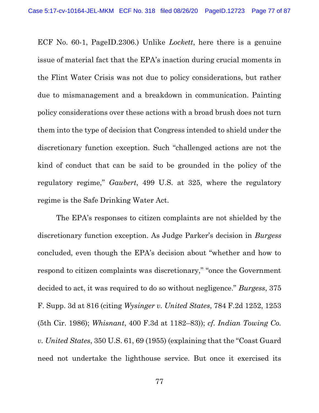ECF No. 60-1, PageID.2306.) Unlike Lockett, here there is a genuine issue of material fact that the EPA's inaction during crucial moments in the Flint Water Crisis was not due to policy considerations, but rather due to mismanagement and a breakdown in communication. Painting policy considerations over these actions with a broad brush does not turn them into the type of decision that Congress intended to shield under the discretionary function exception. Such "challenged actions are not the kind of conduct that can be said to be grounded in the policy of the regulatory regime," Gaubert, 499 U.S. at 325, where the regulatory regime is the Safe Drinking Water Act.

The EPA's responses to citizen complaints are not shielded by the discretionary function exception. As Judge Parker's decision in Burgess concluded, even though the EPA's decision about "whether and how to respond to citizen complaints was discretionary," "once the Government decided to act, it was required to do so without negligence." Burgess, 375 F. Supp. 3d at 816 (citing Wysinger v. United States, 784 F.2d 1252, 1253 (5th Cir. 1986); Whisnant, 400 F.3d at 1182–83)); cf. Indian Towing Co. v. United States, 350 U.S. 61, 69 (1955) (explaining that the "Coast Guard need not undertake the lighthouse service. But once it exercised its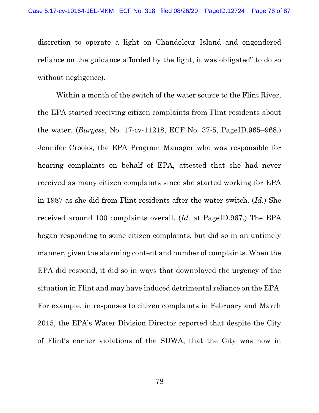discretion to operate a light on Chandeleur Island and engendered reliance on the guidance afforded by the light, it was obligated" to do so without negligence).

Within a month of the switch of the water source to the Flint River, the EPA started receiving citizen complaints from Flint residents about the water. (Burgess, No. 17-cv-11218, ECF No. 37-5, PageID.965–968.) Jennifer Crooks, the EPA Program Manager who was responsible for hearing complaints on behalf of EPA, attested that she had never received as many citizen complaints since she started working for EPA in 1987 as she did from Flint residents after the water switch. (Id.) She received around 100 complaints overall. (Id. at PageID.967.) The EPA began responding to some citizen complaints, but did so in an untimely manner, given the alarming content and number of complaints. When the EPA did respond, it did so in ways that downplayed the urgency of the situation in Flint and may have induced detrimental reliance on the EPA. For example, in responses to citizen complaints in February and March 2015, the EPA's Water Division Director reported that despite the City of Flint's earlier violations of the SDWA, that the City was now in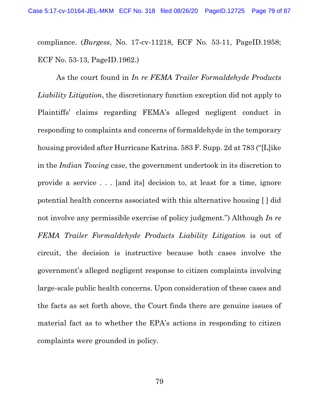compliance. (Burgess, No. 17-cv-11218, ECF No. 53-11, PageID.1958; ECF No. 53-13, PageID.1962.)

As the court found in In re FEMA Trailer Formaldehyde Products Liability Litigation, the discretionary function exception did not apply to Plaintiffs' claims regarding FEMA's alleged negligent conduct in responding to complaints and concerns of formaldehyde in the temporary housing provided after Hurricane Katrina. 583 F. Supp. 2d at 783 ("[L]ike in the Indian Towing case, the government undertook in its discretion to provide a service . . . [and its] decision to, at least for a time, ignore potential health concerns associated with this alternative housing [ ] did not involve any permissible exercise of policy judgment.") Although In re FEMA Trailer Formaldehyde Products Liability Litigation is out of circuit, the decision is instructive because both cases involve the government's alleged negligent response to citizen complaints involving large-scale public health concerns. Upon consideration of these cases and the facts as set forth above, the Court finds there are genuine issues of material fact as to whether the EPA's actions in responding to citizen complaints were grounded in policy.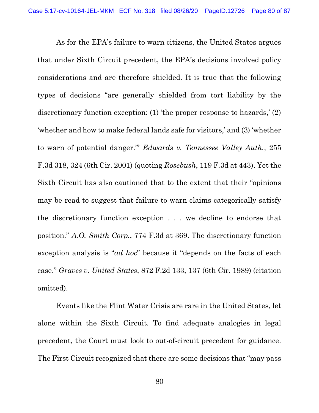As for the EPA's failure to warn citizens, the United States argues that under Sixth Circuit precedent, the EPA's decisions involved policy considerations and are therefore shielded. It is true that the following types of decisions "are generally shielded from tort liability by the discretionary function exception: (1) 'the proper response to hazards,' (2) 'whether and how to make federal lands safe for visitors,' and (3) 'whether to warn of potential danger.'" Edwards v. Tennessee Valley Auth., 255 F.3d 318, 324 (6th Cir. 2001) (quoting Rosebush, 119 F.3d at 443). Yet the Sixth Circuit has also cautioned that to the extent that their "opinions may be read to suggest that failure-to-warn claims categorically satisfy the discretionary function exception . . . we decline to endorse that position." A.O. Smith Corp., 774 F.3d at 369. The discretionary function exception analysis is "ad hoc" because it "depends on the facts of each case." Graves v. United States, 872 F.2d 133, 137 (6th Cir. 1989) (citation omitted).

Events like the Flint Water Crisis are rare in the United States, let alone within the Sixth Circuit. To find adequate analogies in legal precedent, the Court must look to out-of-circuit precedent for guidance. The First Circuit recognized that there are some decisions that "may pass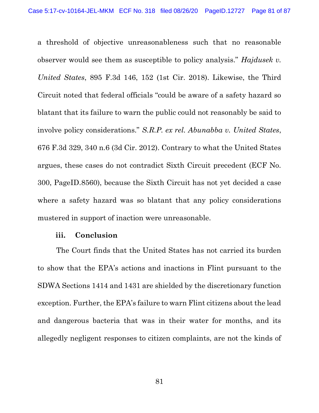a threshold of objective unreasonableness such that no reasonable observer would see them as susceptible to policy analysis." Hajdusek v. United States, 895 F.3d 146, 152 (1st Cir. 2018). Likewise, the Third Circuit noted that federal officials "could be aware of a safety hazard so blatant that its failure to warn the public could not reasonably be said to involve policy considerations." S.R.P. ex rel. Abunabba v. United States, 676 F.3d 329, 340 n.6 (3d Cir. 2012). Contrary to what the United States argues, these cases do not contradict Sixth Circuit precedent (ECF No. 300, PageID.8560), because the Sixth Circuit has not yet decided a case where a safety hazard was so blatant that any policy considerations mustered in support of inaction were unreasonable.

## iii. Conclusion

The Court finds that the United States has not carried its burden to show that the EPA's actions and inactions in Flint pursuant to the SDWA Sections 1414 and 1431 are shielded by the discretionary function exception. Further, the EPA's failure to warn Flint citizens about the lead and dangerous bacteria that was in their water for months, and its allegedly negligent responses to citizen complaints, are not the kinds of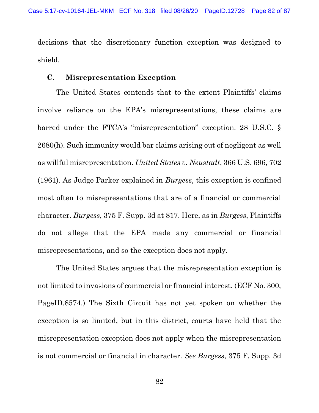decisions that the discretionary function exception was designed to shield.

## C. Misrepresentation Exception

The United States contends that to the extent Plaintiffs' claims involve reliance on the EPA's misrepresentations, these claims are barred under the FTCA's "misrepresentation" exception. 28 U.S.C. § 2680(h). Such immunity would bar claims arising out of negligent as well as willful misrepresentation. United States v. Neustadt, 366 U.S. 696, 702 (1961). As Judge Parker explained in Burgess, this exception is confined most often to misrepresentations that are of a financial or commercial character. Burgess, 375 F. Supp. 3d at 817. Here, as in Burgess, Plaintiffs do not allege that the EPA made any commercial or financial misrepresentations, and so the exception does not apply.

The United States argues that the misrepresentation exception is not limited to invasions of commercial or financial interest. (ECF No. 300, PageID.8574.) The Sixth Circuit has not yet spoken on whether the exception is so limited, but in this district, courts have held that the misrepresentation exception does not apply when the misrepresentation is not commercial or financial in character. See Burgess, 375 F. Supp. 3d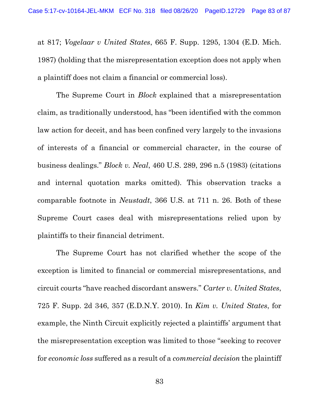at 817; Vogelaar v United States, 665 F. Supp. 1295, 1304 (E.D. Mich. 1987) (holding that the misrepresentation exception does not apply when a plaintiff does not claim a financial or commercial loss).

The Supreme Court in *Block* explained that a misrepresentation claim, as traditionally understood, has "been identified with the common law action for deceit, and has been confined very largely to the invasions of interests of a financial or commercial character, in the course of business dealings." Block v. Neal, 460 U.S. 289, 296 n.5 (1983) (citations and internal quotation marks omitted). This observation tracks a comparable footnote in Neustadt, 366 U.S. at 711 n. 26. Both of these Supreme Court cases deal with misrepresentations relied upon by plaintiffs to their financial detriment.

The Supreme Court has not clarified whether the scope of the exception is limited to financial or commercial misrepresentations, and circuit courts "have reached discordant answers." Carter v. United States, 725 F. Supp. 2d 346, 357 (E.D.N.Y. 2010). In Kim v. United States, for example, the Ninth Circuit explicitly rejected a plaintiffs' argument that the misrepresentation exception was limited to those "seeking to recover for economic loss suffered as a result of a commercial decision the plaintiff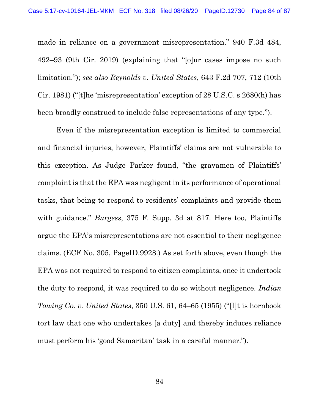made in reliance on a government misrepresentation." 940 F.3d 484, 492–93 (9th Cir. 2019) (explaining that "[o]ur cases impose no such limitation."); see also Reynolds v. United States, 643 F.2d 707, 712 (10th Cir. 1981) ("[t]he 'misrepresentation' exception of 28 U.S.C. s 2680(h) has been broadly construed to include false representations of any type.").

Even if the misrepresentation exception is limited to commercial and financial injuries, however, Plaintiffs' claims are not vulnerable to this exception. As Judge Parker found, "the gravamen of Plaintiffs' complaint is that the EPA was negligent in its performance of operational tasks, that being to respond to residents' complaints and provide them with guidance." Burgess, 375 F. Supp. 3d at 817. Here too, Plaintiffs argue the EPA's misrepresentations are not essential to their negligence claims. (ECF No. 305, PageID.9928.) As set forth above, even though the EPA was not required to respond to citizen complaints, once it undertook the duty to respond, it was required to do so without negligence. *Indian* Towing Co. v. United States, 350 U.S. 61, 64–65 (1955) ("[I]t is hornbook tort law that one who undertakes [a duty] and thereby induces reliance must perform his 'good Samaritan' task in a careful manner.").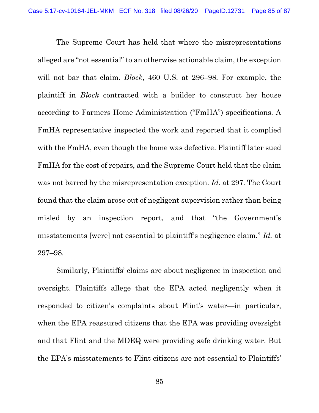The Supreme Court has held that where the misrepresentations alleged are "not essential" to an otherwise actionable claim, the exception will not bar that claim. *Block*, 460 U.S. at 296–98. For example, the plaintiff in Block contracted with a builder to construct her house according to Farmers Home Administration ("FmHA") specifications. A FmHA representative inspected the work and reported that it complied with the FmHA, even though the home was defective. Plaintiff later sued FmHA for the cost of repairs, and the Supreme Court held that the claim was not barred by the misrepresentation exception. Id. at 297. The Court found that the claim arose out of negligent supervision rather than being misled by an inspection report, and that "the Government's misstatements [were] not essential to plaintiff's negligence claim." Id. at 297–98.

Similarly, Plaintiffs' claims are about negligence in inspection and oversight. Plaintiffs allege that the EPA acted negligently when it responded to citizen's complaints about Flint's water—in particular, when the EPA reassured citizens that the EPA was providing oversight and that Flint and the MDEQ were providing safe drinking water. But the EPA's misstatements to Flint citizens are not essential to Plaintiffs'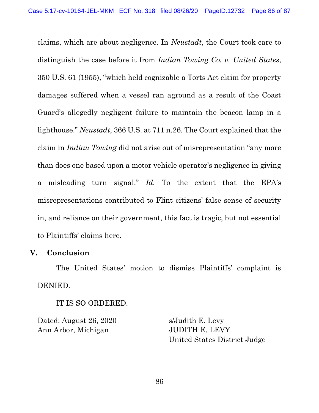claims, which are about negligence. In Neustadt, the Court took care to distinguish the case before it from Indian Towing Co. v. United States, 350 U.S. 61 (1955), "which held cognizable a Torts Act claim for property damages suffered when a vessel ran aground as a result of the Coast Guard's allegedly negligent failure to maintain the beacon lamp in a lighthouse." Neustadt, 366 U.S. at 711 n.26. The Court explained that the claim in Indian Towing did not arise out of misrepresentation "any more than does one based upon a motor vehicle operator's negligence in giving a misleading turn signal." Id. To the extent that the EPA's misrepresentations contributed to Flint citizens' false sense of security in, and reliance on their government, this fact is tragic, but not essential to Plaintiffs' claims here.

## V. Conclusion

The United States' motion to dismiss Plaintiffs' complaint is DENIED.

IT IS SO ORDERED.

Dated: August 26, 2020 s/Judith E. Levy Ann Arbor, Michigan JUDITH E. LEVY

United States District Judge